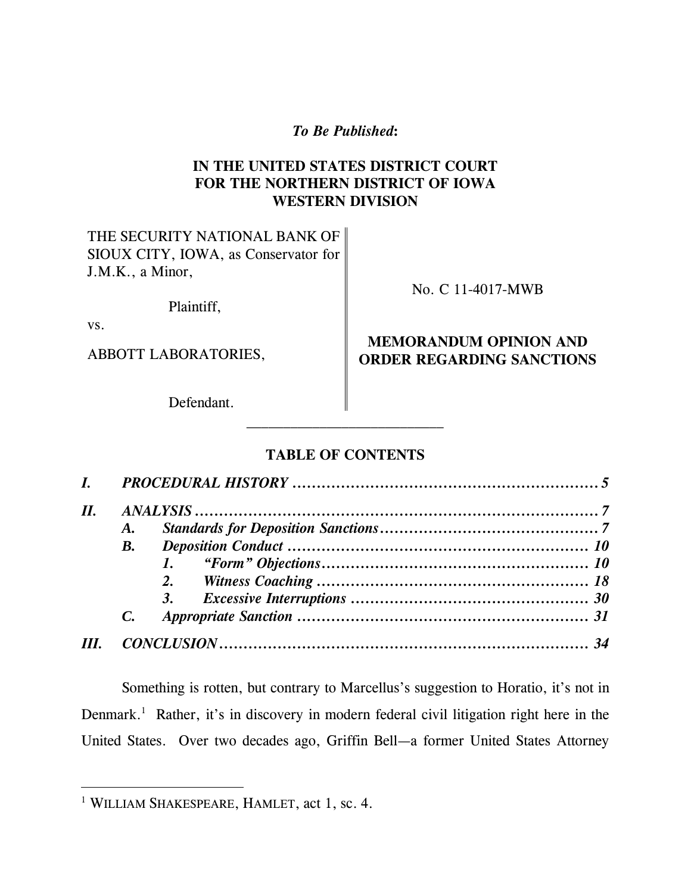*To Be Published***:** 

# **IN THE UNITED STATES DISTRICT COURT FOR THE NORTHERN DISTRICT OF IOWA WESTERN DIVISION**

THE SECURITY NATIONAL BANK OF SIOUX CITY, IOWA, as Conservator for J.M.K., a Minor,

Plaintiff,

vs.

 $\overline{a}$ 

No. C 11-4017-MWB

# **MEMORANDUM OPINION AND**  ABBOTT LABORATORIES, **ORDER REGARDING SANCTIONS**

Defendant.

# **TABLE OF CONTENTS**

| Н. | $\boldsymbol{I}$ . |    |  |
|----|--------------------|----|--|
|    |                    |    |  |
|    | $\boldsymbol{A}$ . |    |  |
|    | В.                 |    |  |
|    |                    |    |  |
|    |                    |    |  |
|    |                    | 3. |  |
|    |                    |    |  |
|    |                    |    |  |

Something is rotten, but contrary to Marcellus's suggestion to Horatio, it's not in Denmark.<sup>1</sup> Rather, it's in discovery in modern federal civil litigation right here in the United States. Over two decades ago, Griffin Bell—a former United States Attorney

<sup>1</sup> WILLIAM SHAKESPEARE, HAMLET, act 1, sc. 4.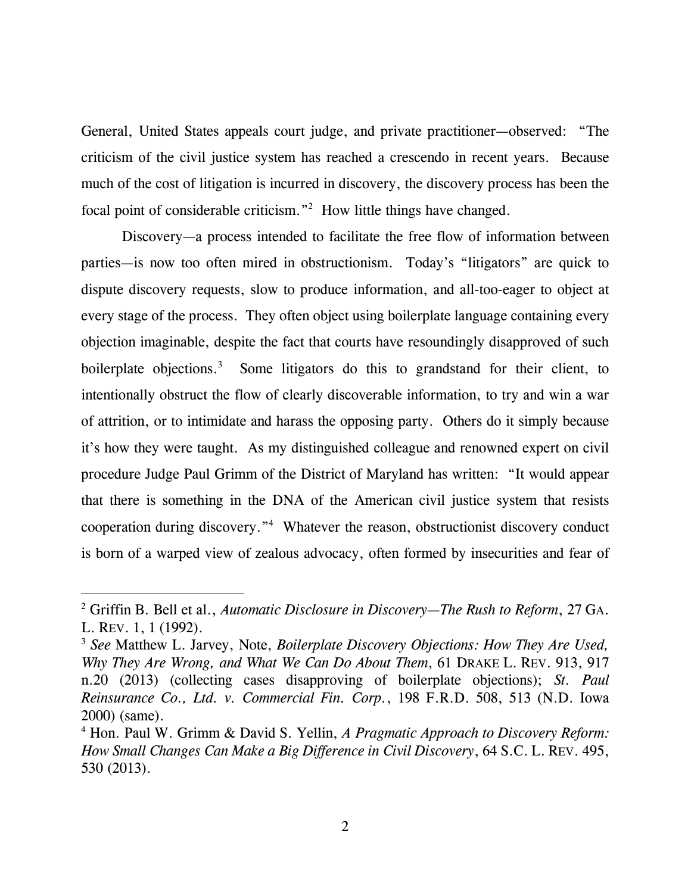General, United States appeals court judge, and private practitioner—observed: "The criticism of the civil justice system has reached a crescendo in recent years. Because much of the cost of litigation is incurred in discovery, the discovery process has been the focal point of considerable criticism."2 How little things have changed.

Discovery—a process intended to facilitate the free flow of information between parties—is now too often mired in obstructionism. Today's "litigators" are quick to dispute discovery requests, slow to produce information, and all-too-eager to object at every stage of the process. They often object using boilerplate language containing every objection imaginable, despite the fact that courts have resoundingly disapproved of such boilerplate objections.<sup>3</sup> Some litigators do this to grandstand for their client, to intentionally obstruct the flow of clearly discoverable information, to try and win a war of attrition, or to intimidate and harass the opposing party. Others do it simply because it's how they were taught. As my distinguished colleague and renowned expert on civil procedure Judge Paul Grimm of the District of Maryland has written: "It would appear that there is something in the DNA of the American civil justice system that resists cooperation during discovery."4 Whatever the reason, obstructionist discovery conduct is born of a warped view of zealous advocacy, often formed by insecurities and fear of

 $\overline{a}$ 

<sup>2</sup> Griffin B. Bell et al., *Automatic Disclosure in Discovery—The Rush to Reform*, 27 GA. L. REV. 1, 1 (1992).

<sup>3</sup> *See* Matthew L. Jarvey, Note, *Boilerplate Discovery Objections: How They Are Used, Why They Are Wrong, and What We Can Do About Them*, 61 DRAKE L. REV. 913, 917 n.20 (2013) (collecting cases disapproving of boilerplate objections); *St. Paul Reinsurance Co., Ltd. v. Commercial Fin. Corp.*, 198 F.R.D. 508, 513 (N.D. Iowa 2000) (same).

<sup>4</sup> Hon. Paul W. Grimm & David S. Yellin, *A Pragmatic Approach to Discovery Reform: How Small Changes Can Make a Big Difference in Civil Discovery*, 64 S.C. L. REV. 495, 530 (2013).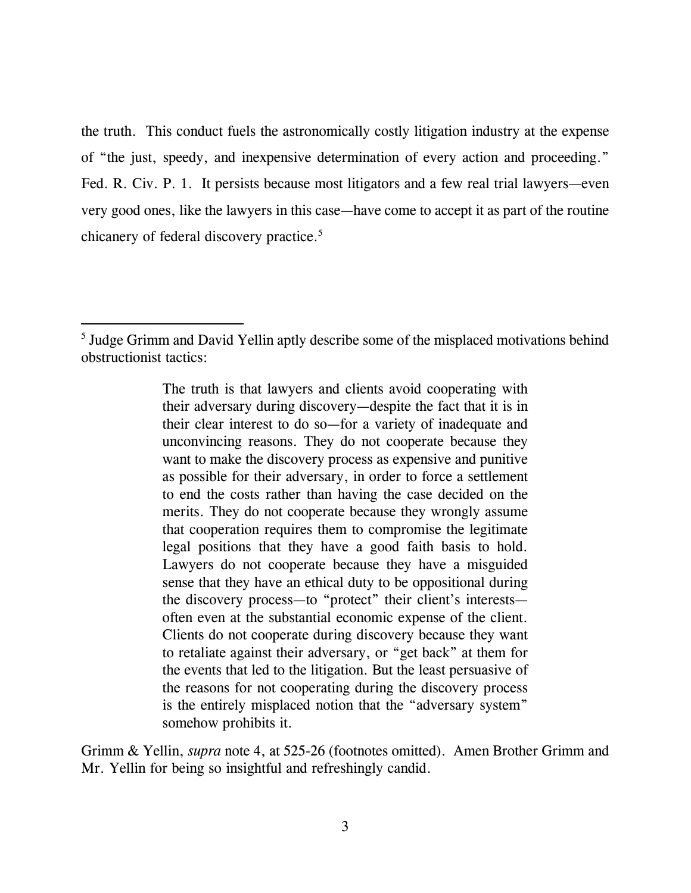the truth. This conduct fuels the astronomically costly litigation industry at the expense of "the just, speedy, and inexpensive determination of every action and proceeding." Fed. R. Civ. P. 1. It persists because most litigators and a few real trial lawyers—even very good ones, like the lawyers in this case—have come to accept it as part of the routine chicanery of federal discovery practice.<sup>5</sup>

-

Grimm & Yellin, *supra* note 4, at 525-26 (footnotes omitted). Amen Brother Grimm and Mr. Yellin for being so insightful and refreshingly candid.

<sup>&</sup>lt;sup>5</sup> Judge Grimm and David Yellin aptly describe some of the misplaced motivations behind obstructionist tactics:

The truth is that lawyers and clients avoid cooperating with their adversary during discovery—despite the fact that it is in their clear interest to do so—for a variety of inadequate and unconvincing reasons. They do not cooperate because they want to make the discovery process as expensive and punitive as possible for their adversary, in order to force a settlement to end the costs rather than having the case decided on the merits. They do not cooperate because they wrongly assume that cooperation requires them to compromise the legitimate legal positions that they have a good faith basis to hold. Lawyers do not cooperate because they have a misguided sense that they have an ethical duty to be oppositional during the discovery process—to "protect" their client's interests often even at the substantial economic expense of the client. Clients do not cooperate during discovery because they want to retaliate against their adversary, or "get back" at them for the events that led to the litigation. But the least persuasive of the reasons for not cooperating during the discovery process is the entirely misplaced notion that the "adversary system" somehow prohibits it.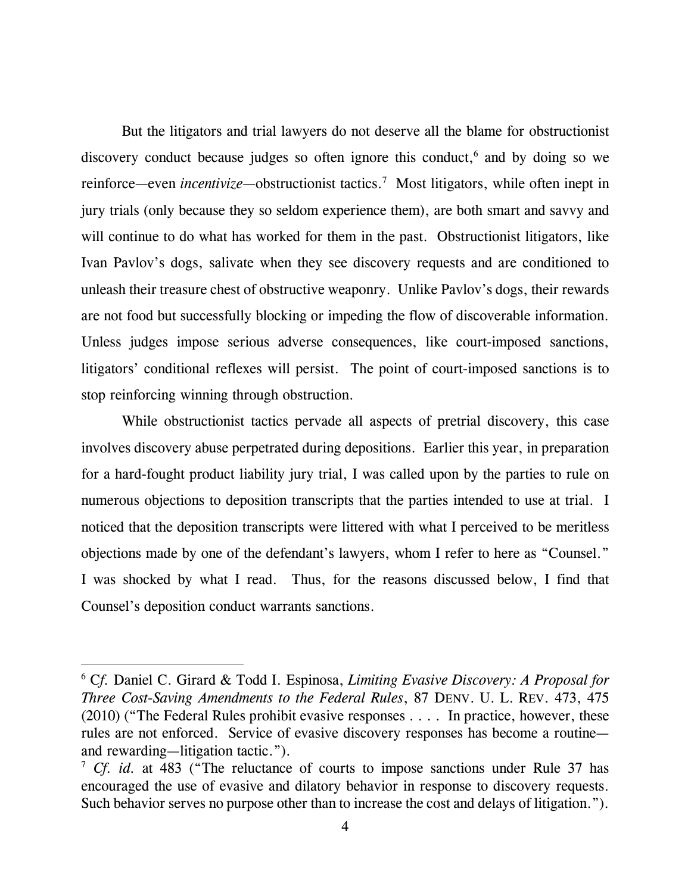But the litigators and trial lawyers do not deserve all the blame for obstructionist discovery conduct because judges so often ignore this conduct,<sup>6</sup> and by doing so we reinforce—even *incentivize*—obstructionist tactics.<sup>7</sup> Most litigators, while often inept in jury trials (only because they so seldom experience them), are both smart and savvy and will continue to do what has worked for them in the past. Obstructionist litigators, like Ivan Pavlov's dogs, salivate when they see discovery requests and are conditioned to unleash their treasure chest of obstructive weaponry. Unlike Pavlov's dogs, their rewards are not food but successfully blocking or impeding the flow of discoverable information. Unless judges impose serious adverse consequences, like court-imposed sanctions, litigators' conditional reflexes will persist. The point of court-imposed sanctions is to stop reinforcing winning through obstruction.

While obstructionist tactics pervade all aspects of pretrial discovery, this case involves discovery abuse perpetrated during depositions. Earlier this year, in preparation for a hard-fought product liability jury trial, I was called upon by the parties to rule on numerous objections to deposition transcripts that the parties intended to use at trial. I noticed that the deposition transcripts were littered with what I perceived to be meritless objections made by one of the defendant's lawyers, whom I refer to here as "Counsel." I was shocked by what I read. Thus, for the reasons discussed below, I find that Counsel's deposition conduct warrants sanctions.

l

<sup>6</sup> C*f.* Daniel C. Girard & Todd I. Espinosa, *Limiting Evasive Discovery: A Proposal for Three Cost-Saving Amendments to the Federal Rules*, 87 DENV. U. L. REV. 473, 475 (2010) ("The Federal Rules prohibit evasive responses . . . . In practice, however, these rules are not enforced. Service of evasive discovery responses has become a routine and rewarding—litigation tactic.").

<sup>7</sup> *Cf. id.* at 483 ("The reluctance of courts to impose sanctions under Rule 37 has encouraged the use of evasive and dilatory behavior in response to discovery requests. Such behavior serves no purpose other than to increase the cost and delays of litigation.").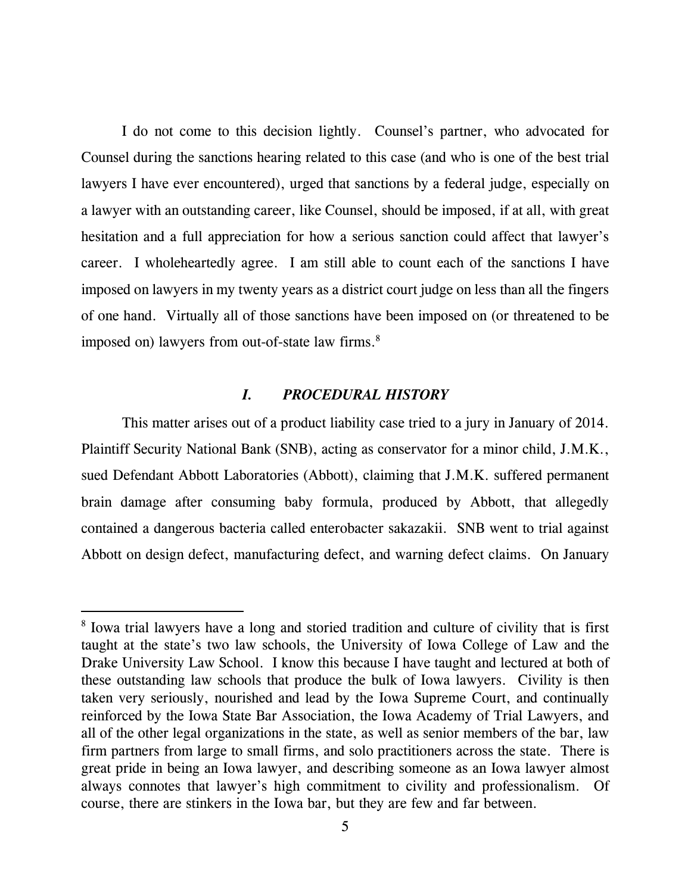I do not come to this decision lightly. Counsel's partner, who advocated for Counsel during the sanctions hearing related to this case (and who is one of the best trial lawyers I have ever encountered), urged that sanctions by a federal judge, especially on a lawyer with an outstanding career, like Counsel, should be imposed, if at all, with great hesitation and a full appreciation for how a serious sanction could affect that lawyer's career. I wholeheartedly agree. I am still able to count each of the sanctions I have imposed on lawyers in my twenty years as a district court judge on less than all the fingers of one hand. Virtually all of those sanctions have been imposed on (or threatened to be imposed on) lawyers from out-of-state law firms.<sup>8</sup>

#### *I. PROCEDURAL HISTORY*

This matter arises out of a product liability case tried to a jury in January of 2014. Plaintiff Security National Bank (SNB), acting as conservator for a minor child, J.M.K., sued Defendant Abbott Laboratories (Abbott), claiming that J.M.K. suffered permanent brain damage after consuming baby formula, produced by Abbott, that allegedly contained a dangerous bacteria called enterobacter sakazakii. SNB went to trial against Abbott on design defect, manufacturing defect, and warning defect claims. On January

l

<sup>&</sup>lt;sup>8</sup> Iowa trial lawyers have a long and storied tradition and culture of civility that is first taught at the state's two law schools, the University of Iowa College of Law and the Drake University Law School. I know this because I have taught and lectured at both of these outstanding law schools that produce the bulk of Iowa lawyers. Civility is then taken very seriously, nourished and lead by the Iowa Supreme Court, and continually reinforced by the Iowa State Bar Association, the Iowa Academy of Trial Lawyers, and all of the other legal organizations in the state, as well as senior members of the bar, law firm partners from large to small firms, and solo practitioners across the state. There is great pride in being an Iowa lawyer, and describing someone as an Iowa lawyer almost always connotes that lawyer's high commitment to civility and professionalism. Of course, there are stinkers in the Iowa bar, but they are few and far between.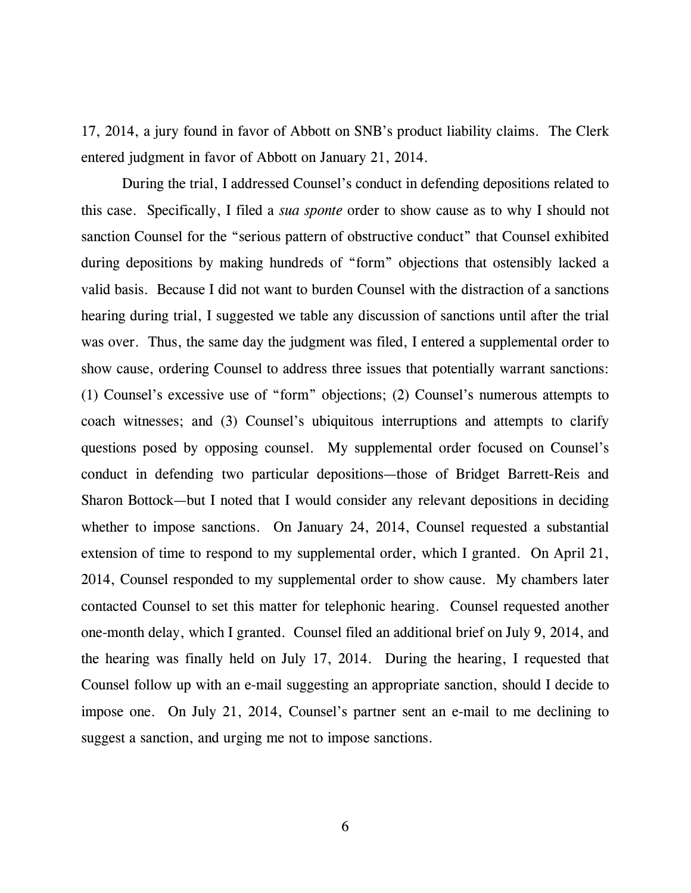17, 2014, a jury found in favor of Abbott on SNB's product liability claims. The Clerk entered judgment in favor of Abbott on January 21, 2014.

During the trial, I addressed Counsel's conduct in defending depositions related to this case. Specifically, I filed a *sua sponte* order to show cause as to why I should not sanction Counsel for the "serious pattern of obstructive conduct" that Counsel exhibited during depositions by making hundreds of "form" objections that ostensibly lacked a valid basis. Because I did not want to burden Counsel with the distraction of a sanctions hearing during trial, I suggested we table any discussion of sanctions until after the trial was over. Thus, the same day the judgment was filed, I entered a supplemental order to show cause, ordering Counsel to address three issues that potentially warrant sanctions: (1) Counsel's excessive use of "form" objections; (2) Counsel's numerous attempts to coach witnesses; and (3) Counsel's ubiquitous interruptions and attempts to clarify questions posed by opposing counsel. My supplemental order focused on Counsel's conduct in defending two particular depositions—those of Bridget Barrett-Reis and Sharon Bottock—but I noted that I would consider any relevant depositions in deciding whether to impose sanctions. On January 24, 2014, Counsel requested a substantial extension of time to respond to my supplemental order, which I granted. On April 21, 2014, Counsel responded to my supplemental order to show cause. My chambers later contacted Counsel to set this matter for telephonic hearing. Counsel requested another one-month delay, which I granted. Counsel filed an additional brief on July 9, 2014, and the hearing was finally held on July 17, 2014. During the hearing, I requested that Counsel follow up with an e-mail suggesting an appropriate sanction, should I decide to impose one. On July 21, 2014, Counsel's partner sent an e-mail to me declining to suggest a sanction, and urging me not to impose sanctions.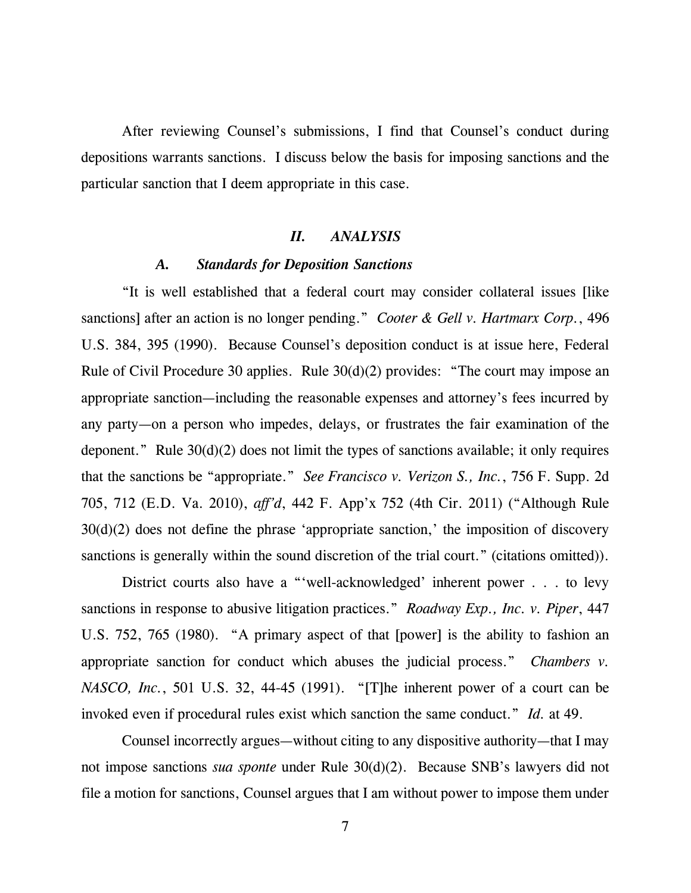After reviewing Counsel's submissions, I find that Counsel's conduct during depositions warrants sanctions. I discuss below the basis for imposing sanctions and the particular sanction that I deem appropriate in this case.

## *II. ANALYSIS*

### *A. Standards for Deposition Sanctions*

"It is well established that a federal court may consider collateral issues [like sanctions] after an action is no longer pending." *Cooter & Gell v. Hartmarx Corp.*, 496 U.S. 384, 395 (1990). Because Counsel's deposition conduct is at issue here, Federal Rule of Civil Procedure 30 applies. Rule 30(d)(2) provides: "The court may impose an appropriate sanction—including the reasonable expenses and attorney's fees incurred by any party—on a person who impedes, delays, or frustrates the fair examination of the deponent." Rule 30(d)(2) does not limit the types of sanctions available; it only requires that the sanctions be "appropriate." *See Francisco v. Verizon S., Inc.*, 756 F. Supp. 2d 705, 712 (E.D. Va. 2010), *aff'd*, 442 F. App'x 752 (4th Cir. 2011) ("Although Rule 30(d)(2) does not define the phrase 'appropriate sanction,' the imposition of discovery sanctions is generally within the sound discretion of the trial court." (citations omitted)).

District courts also have a "'well-acknowledged' inherent power . . . to levy sanctions in response to abusive litigation practices." *Roadway Exp., Inc. v. Piper*, 447 U.S. 752, 765 (1980). "A primary aspect of that [power] is the ability to fashion an appropriate sanction for conduct which abuses the judicial process." *Chambers v. NASCO, Inc.*, 501 U.S. 32, 44-45 (1991). "[T]he inherent power of a court can be invoked even if procedural rules exist which sanction the same conduct." *Id.* at 49.

Counsel incorrectly argues—without citing to any dispositive authority—that I may not impose sanctions *sua sponte* under Rule 30(d)(2). Because SNB's lawyers did not file a motion for sanctions, Counsel argues that I am without power to impose them under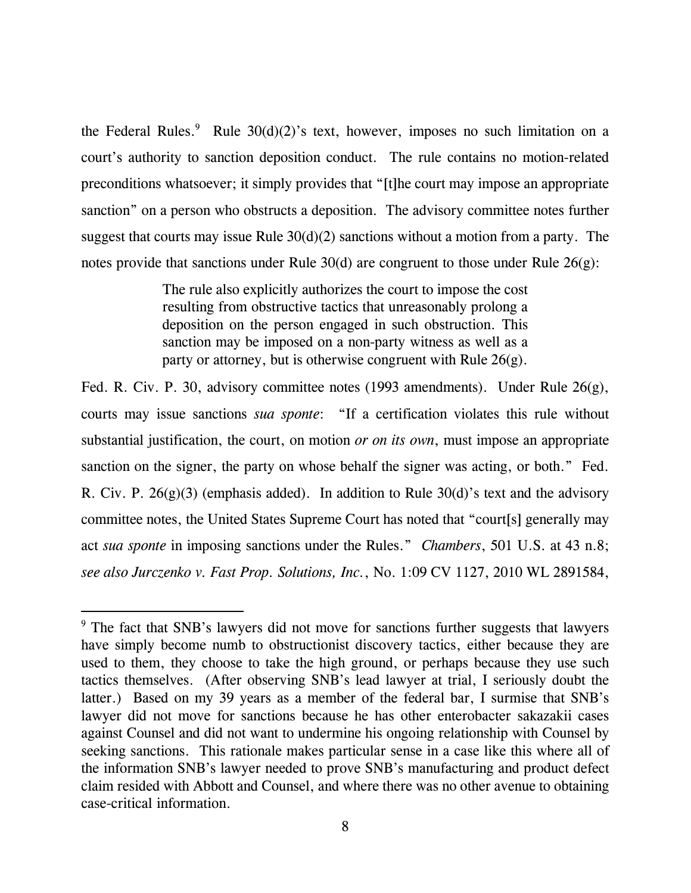the Federal Rules.<sup>9</sup> Rule  $30(d)(2)$ 's text, however, imposes no such limitation on a court's authority to sanction deposition conduct. The rule contains no motion-related preconditions whatsoever; it simply provides that "[t]he court may impose an appropriate sanction" on a person who obstructs a deposition. The advisory committee notes further suggest that courts may issue Rule  $30(d)(2)$  sanctions without a motion from a party. The notes provide that sanctions under Rule 30(d) are congruent to those under Rule 26(g):

> The rule also explicitly authorizes the court to impose the cost resulting from obstructive tactics that unreasonably prolong a deposition on the person engaged in such obstruction. This sanction may be imposed on a non-party witness as well as a party or attorney, but is otherwise congruent with Rule 26(g).

Fed. R. Civ. P. 30, advisory committee notes (1993 amendments). Under Rule 26(g), courts may issue sanctions *sua sponte*: "If a certification violates this rule without substantial justification, the court, on motion *or on its own*, must impose an appropriate sanction on the signer, the party on whose behalf the signer was acting, or both." Fed. R. Civ. P.  $26(g)(3)$  (emphasis added). In addition to Rule  $30(d)$ 's text and the advisory committee notes, the United States Supreme Court has noted that "court[s] generally may act *sua sponte* in imposing sanctions under the Rules." *Chambers*, 501 U.S. at 43 n.8; *see also Jurczenko v. Fast Prop. Solutions, Inc.*, No. 1:09 CV 1127, 2010 WL 2891584,

-

<sup>&</sup>lt;sup>9</sup> The fact that SNB's lawyers did not move for sanctions further suggests that lawyers have simply become numb to obstructionist discovery tactics, either because they are used to them, they choose to take the high ground, or perhaps because they use such tactics themselves. (After observing SNB's lead lawyer at trial, I seriously doubt the latter.) Based on my 39 years as a member of the federal bar, I surmise that SNB's lawyer did not move for sanctions because he has other enterobacter sakazakii cases against Counsel and did not want to undermine his ongoing relationship with Counsel by seeking sanctions. This rationale makes particular sense in a case like this where all of the information SNB's lawyer needed to prove SNB's manufacturing and product defect claim resided with Abbott and Counsel, and where there was no other avenue to obtaining case-critical information.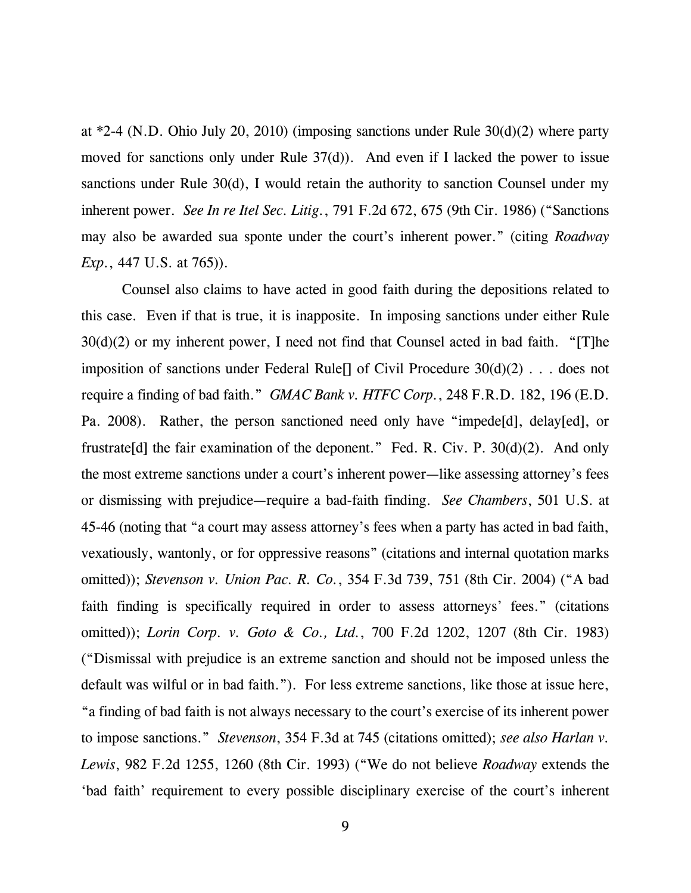at \*2-4 (N.D. Ohio July 20, 2010) (imposing sanctions under Rule 30(d)(2) where party moved for sanctions only under Rule 37(d)). And even if I lacked the power to issue sanctions under Rule 30(d), I would retain the authority to sanction Counsel under my inherent power. *See In re Itel Sec. Litig.*, 791 F.2d 672, 675 (9th Cir. 1986) ("Sanctions may also be awarded sua sponte under the court's inherent power." (citing *Roadway Exp.*, 447 U.S. at 765).

Counsel also claims to have acted in good faith during the depositions related to this case. Even if that is true, it is inapposite. In imposing sanctions under either Rule  $30(d)(2)$  or my inherent power, I need not find that Counsel acted in bad faith. "[T]he imposition of sanctions under Federal Rule  $\lceil \cdot \rceil$  of Civil Procedure 30(d)(2) . . . does not require a finding of bad faith." *GMAC Bank v. HTFC Corp.*, 248 F.R.D. 182, 196 (E.D. Pa. 2008). Rather, the person sanctioned need only have "impede[d], delay[ed], or frustrate[d] the fair examination of the deponent." Fed. R. Civ. P.  $30(d)(2)$ . And only the most extreme sanctions under a court's inherent power—like assessing attorney's fees or dismissing with prejudice—require a bad-faith finding. *See Chambers*, 501 U.S. at 45-46 (noting that "a court may assess attorney's fees when a party has acted in bad faith, vexatiously, wantonly, or for oppressive reasons" (citations and internal quotation marks omitted)); *Stevenson v. Union Pac. R. Co.*, 354 F.3d 739, 751 (8th Cir. 2004) ("A bad faith finding is specifically required in order to assess attorneys' fees." (citations omitted)); *Lorin Corp. v. Goto & Co., Ltd.*, 700 F.2d 1202, 1207 (8th Cir. 1983) ("Dismissal with prejudice is an extreme sanction and should not be imposed unless the default was wilful or in bad faith."). For less extreme sanctions, like those at issue here, "a finding of bad faith is not always necessary to the court's exercise of its inherent power to impose sanctions." *Stevenson*, 354 F.3d at 745 (citations omitted); *see also Harlan v. Lewis*, 982 F.2d 1255, 1260 (8th Cir. 1993) ("We do not believe *Roadway* extends the 'bad faith' requirement to every possible disciplinary exercise of the court's inherent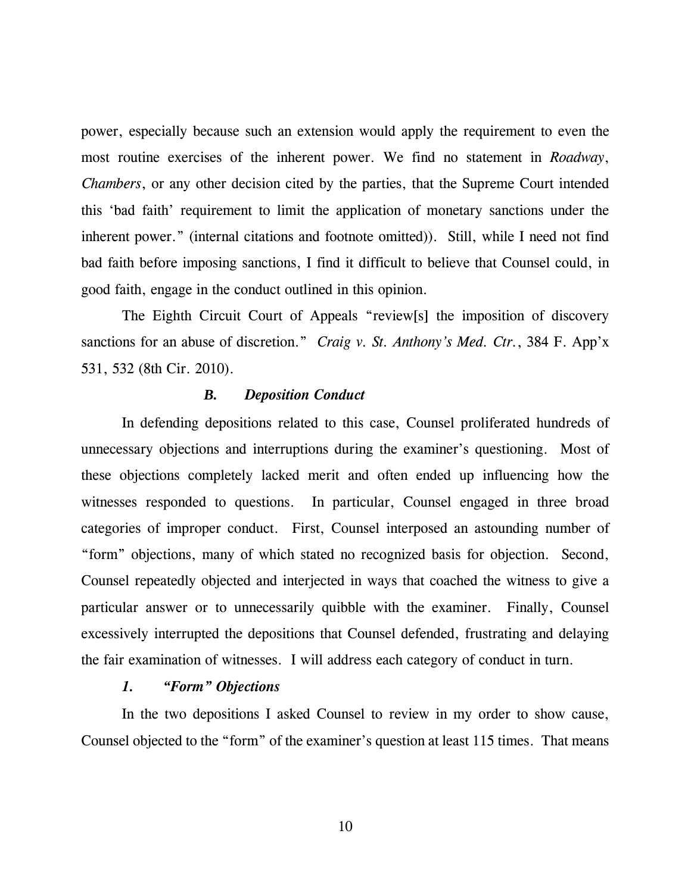power, especially because such an extension would apply the requirement to even the most routine exercises of the inherent power. We find no statement in *Roadway*, *Chambers*, or any other decision cited by the parties, that the Supreme Court intended this 'bad faith' requirement to limit the application of monetary sanctions under the inherent power." (internal citations and footnote omitted)). Still, while I need not find bad faith before imposing sanctions, I find it difficult to believe that Counsel could, in good faith, engage in the conduct outlined in this opinion.

The Eighth Circuit Court of Appeals "review[s] the imposition of discovery sanctions for an abuse of discretion." *Craig v. St. Anthony's Med. Ctr.*, 384 F. App'x 531, 532 (8th Cir. 2010).

#### *B. Deposition Conduct*

In defending depositions related to this case, Counsel proliferated hundreds of unnecessary objections and interruptions during the examiner's questioning. Most of these objections completely lacked merit and often ended up influencing how the witnesses responded to questions. In particular, Counsel engaged in three broad categories of improper conduct. First, Counsel interposed an astounding number of "form" objections, many of which stated no recognized basis for objection. Second, Counsel repeatedly objected and interjected in ways that coached the witness to give a particular answer or to unnecessarily quibble with the examiner. Finally, Counsel excessively interrupted the depositions that Counsel defended, frustrating and delaying the fair examination of witnesses. I will address each category of conduct in turn.

### *1. "Form" Objections*

In the two depositions I asked Counsel to review in my order to show cause, Counsel objected to the "form" of the examiner's question at least 115 times. That means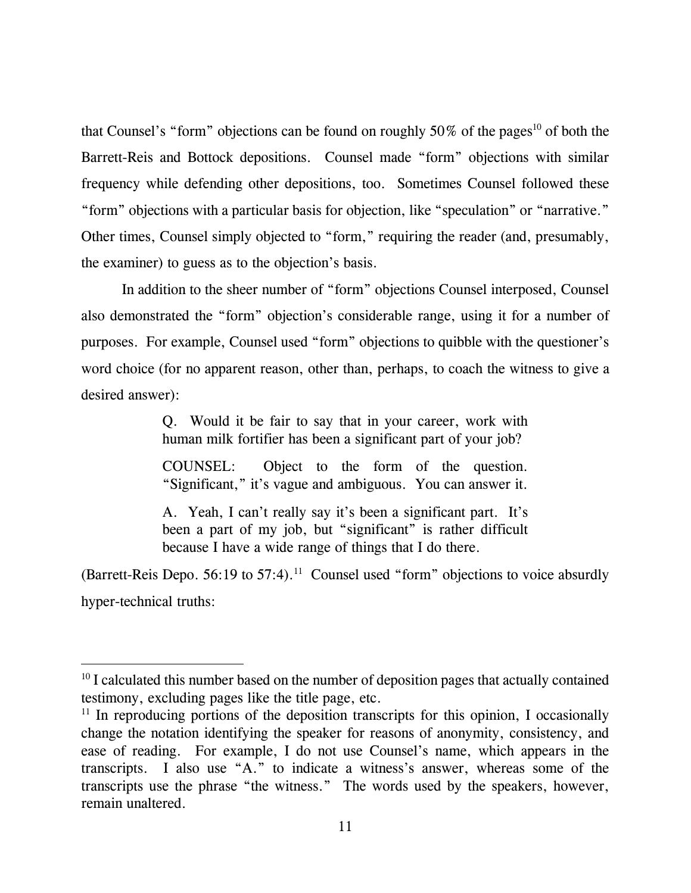that Counsel's "form" objections can be found on roughly  $50\%$  of the pages<sup>10</sup> of both the Barrett-Reis and Bottock depositions. Counsel made "form" objections with similar frequency while defending other depositions, too. Sometimes Counsel followed these "form" objections with a particular basis for objection, like "speculation" or "narrative." Other times, Counsel simply objected to "form," requiring the reader (and, presumably, the examiner) to guess as to the objection's basis.

In addition to the sheer number of "form" objections Counsel interposed, Counsel also demonstrated the "form" objection's considerable range, using it for a number of purposes. For example, Counsel used "form" objections to quibble with the questioner's word choice (for no apparent reason, other than, perhaps, to coach the witness to give a desired answer):

> Q. Would it be fair to say that in your career, work with human milk fortifier has been a significant part of your job?

> COUNSEL: Object to the form of the question. "Significant," it's vague and ambiguous. You can answer it.

> A. Yeah, I can't really say it's been a significant part. It's been a part of my job, but "significant" is rather difficult because I have a wide range of things that I do there.

(Barrett-Reis Depo. 56:19 to 57:4).<sup>11</sup> Counsel used "form" objections to voice absurdly hyper-technical truths:

l

<sup>&</sup>lt;sup>10</sup> I calculated this number based on the number of deposition pages that actually contained testimony, excluding pages like the title page, etc.

 $11$  In reproducing portions of the deposition transcripts for this opinion, I occasionally change the notation identifying the speaker for reasons of anonymity, consistency, and ease of reading. For example, I do not use Counsel's name, which appears in the transcripts. I also use "A." to indicate a witness's answer, whereas some of the transcripts use the phrase "the witness." The words used by the speakers, however, remain unaltered.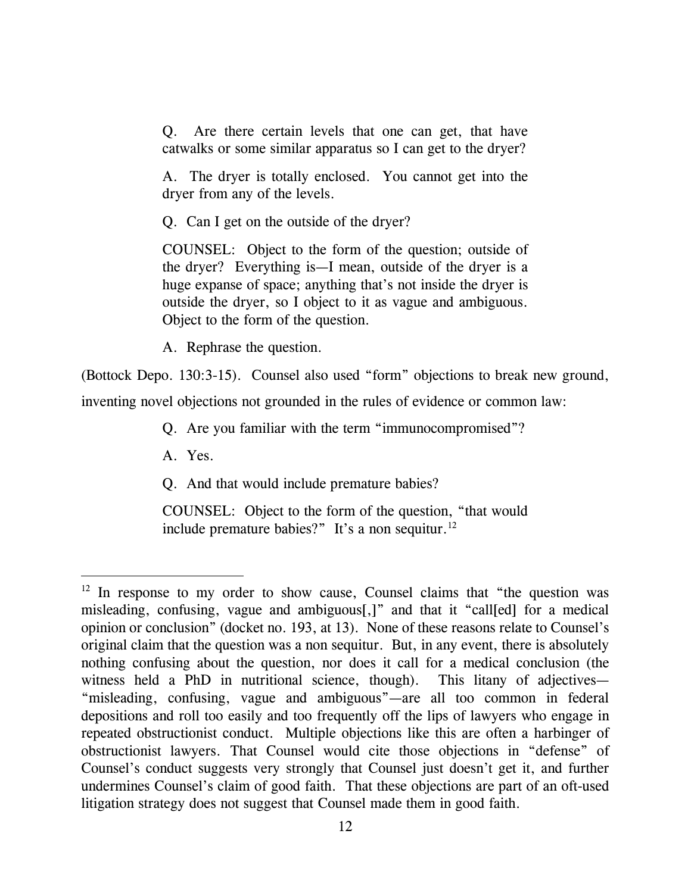Q. Are there certain levels that one can get, that have catwalks or some similar apparatus so I can get to the dryer?

A. The dryer is totally enclosed. You cannot get into the dryer from any of the levels.

Q. Can I get on the outside of the dryer?

COUNSEL: Object to the form of the question; outside of the dryer? Everything is—I mean, outside of the dryer is a huge expanse of space; anything that's not inside the dryer is outside the dryer, so I object to it as vague and ambiguous. Object to the form of the question.

A. Rephrase the question.

(Bottock Depo. 130:3-15). Counsel also used "form" objections to break new ground,

inventing novel objections not grounded in the rules of evidence or common law:

Q. Are you familiar with the term "immunocompromised"?

A. Yes.

l

Q. And that would include premature babies?

COUNSEL: Object to the form of the question, "that would include premature babies?" It's a non sequitur. $^{12}$ 

 $12$  In response to my order to show cause, Counsel claims that "the question was misleading, confusing, vague and ambiguous[,]" and that it "call[ed] for a medical opinion or conclusion" (docket no. 193, at 13). None of these reasons relate to Counsel's original claim that the question was a non sequitur. But, in any event, there is absolutely nothing confusing about the question, nor does it call for a medical conclusion (the witness held a PhD in nutritional science, though). This litany of adjectives— "misleading, confusing, vague and ambiguous"—are all too common in federal depositions and roll too easily and too frequently off the lips of lawyers who engage in repeated obstructionist conduct. Multiple objections like this are often a harbinger of obstructionist lawyers. That Counsel would cite those objections in "defense" of Counsel's conduct suggests very strongly that Counsel just doesn't get it, and further undermines Counsel's claim of good faith. That these objections are part of an oft-used litigation strategy does not suggest that Counsel made them in good faith.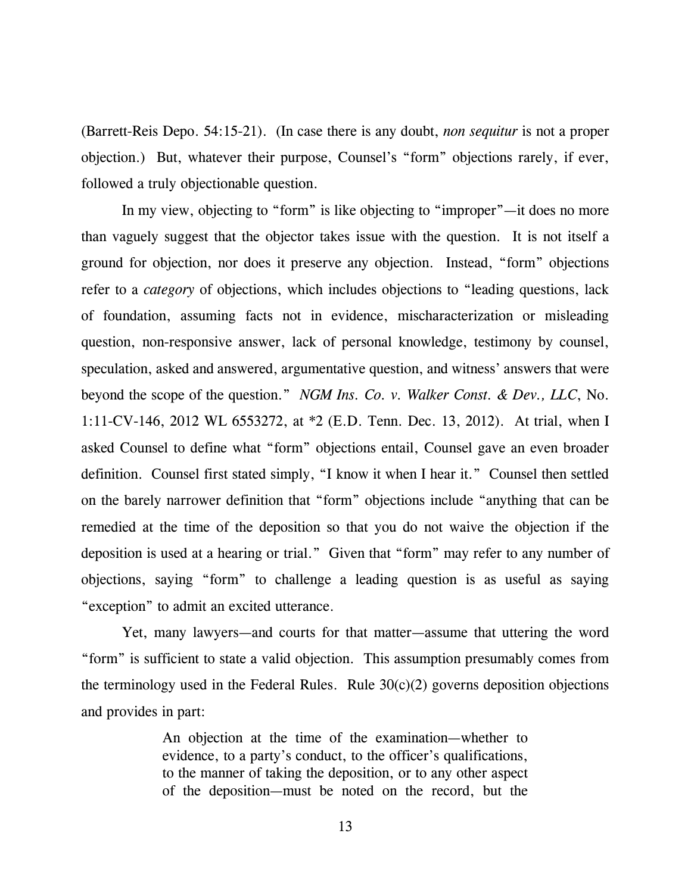(Barrett-Reis Depo. 54:15-21). (In case there is any doubt, *non sequitur* is not a proper objection.) But, whatever their purpose, Counsel's "form" objections rarely, if ever, followed a truly objectionable question.

 In my view, objecting to "form" is like objecting to "improper"—it does no more than vaguely suggest that the objector takes issue with the question. It is not itself a ground for objection, nor does it preserve any objection. Instead, "form" objections refer to a *category* of objections, which includes objections to "leading questions, lack of foundation, assuming facts not in evidence, mischaracterization or misleading question, non-responsive answer, lack of personal knowledge, testimony by counsel, speculation, asked and answered, argumentative question, and witness' answers that were beyond the scope of the question." *NGM Ins. Co. v. Walker Const. & Dev., LLC*, No. 1:11-CV-146, 2012 WL 6553272, at \*2 (E.D. Tenn. Dec. 13, 2012). At trial, when I asked Counsel to define what "form" objections entail, Counsel gave an even broader definition. Counsel first stated simply, "I know it when I hear it." Counsel then settled on the barely narrower definition that "form" objections include "anything that can be remedied at the time of the deposition so that you do not waive the objection if the deposition is used at a hearing or trial." Given that "form" may refer to any number of objections, saying "form" to challenge a leading question is as useful as saying "exception" to admit an excited utterance.

 Yet, many lawyers—and courts for that matter—assume that uttering the word "form" is sufficient to state a valid objection. This assumption presumably comes from the terminology used in the Federal Rules. Rule  $30(c)(2)$  governs deposition objections and provides in part:

> An objection at the time of the examination—whether to evidence, to a party's conduct, to the officer's qualifications, to the manner of taking the deposition, or to any other aspect of the deposition—must be noted on the record, but the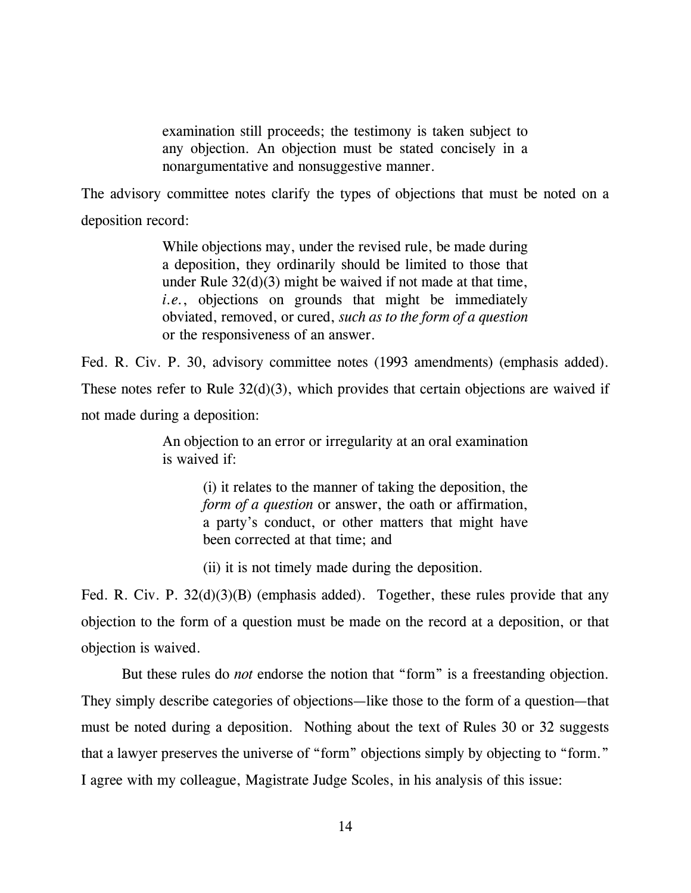examination still proceeds; the testimony is taken subject to any objection. An objection must be stated concisely in a nonargumentative and nonsuggestive manner.

The advisory committee notes clarify the types of objections that must be noted on a deposition record:

> While objections may, under the revised rule, be made during a deposition, they ordinarily should be limited to those that under Rule 32(d)(3) might be waived if not made at that time, *i.e.*, objections on grounds that might be immediately obviated, removed, or cured, *such as to the form of a question* or the responsiveness of an answer.

Fed. R. Civ. P. 30, advisory committee notes (1993 amendments) (emphasis added). These notes refer to Rule  $32(d)(3)$ , which provides that certain objections are waived if not made during a deposition:

> An objection to an error or irregularity at an oral examination is waived if:

> > (i) it relates to the manner of taking the deposition, the *form of a question* or answer, the oath or affirmation, a party's conduct, or other matters that might have been corrected at that time; and

(ii) it is not timely made during the deposition.

Fed. R. Civ. P. 32(d)(3)(B) (emphasis added). Together, these rules provide that any objection to the form of a question must be made on the record at a deposition, or that objection is waived.

 But these rules do *not* endorse the notion that "form" is a freestanding objection. They simply describe categories of objections—like those to the form of a question—that must be noted during a deposition. Nothing about the text of Rules 30 or 32 suggests that a lawyer preserves the universe of "form" objections simply by objecting to "form." I agree with my colleague, Magistrate Judge Scoles, in his analysis of this issue: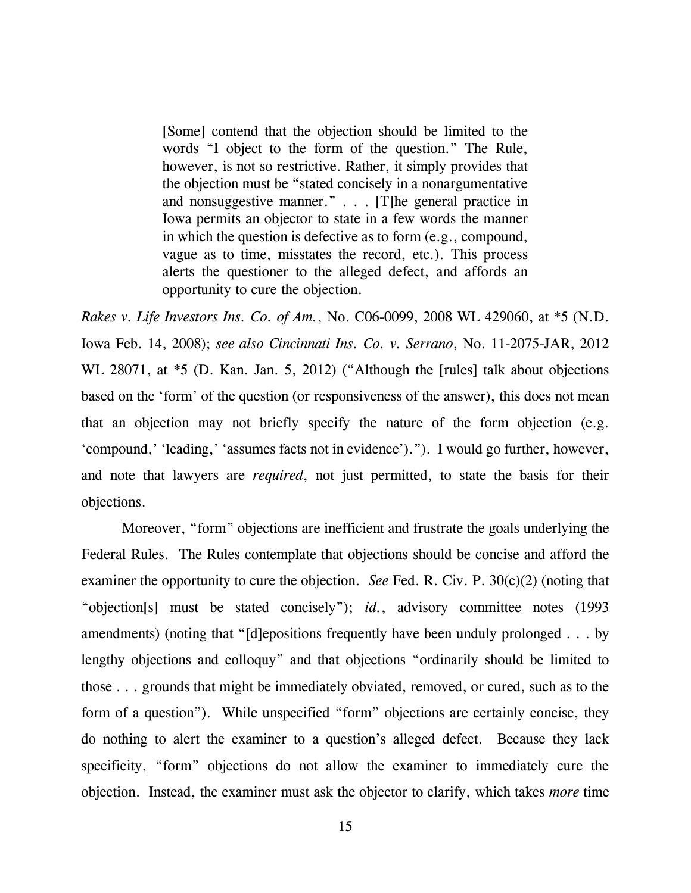[Some] contend that the objection should be limited to the words "I object to the form of the question." The Rule, however, is not so restrictive. Rather, it simply provides that the objection must be "stated concisely in a nonargumentative and nonsuggestive manner." . . . [T]he general practice in Iowa permits an objector to state in a few words the manner in which the question is defective as to form (e.g., compound, vague as to time, misstates the record, etc.). This process alerts the questioner to the alleged defect, and affords an opportunity to cure the objection.

*Rakes v. Life Investors Ins. Co. of Am.*, No. C06-0099, 2008 WL 429060, at \*5 (N.D. Iowa Feb. 14, 2008); *see also Cincinnati Ins. Co. v. Serrano*, No. 11-2075-JAR, 2012 WL 28071, at  $*5$  (D. Kan. Jan. 5, 2012) ("Although the [rules] talk about objections based on the 'form' of the question (or responsiveness of the answer), this does not mean that an objection may not briefly specify the nature of the form objection (e.g. 'compound,' 'leading,' 'assumes facts not in evidence')."). I would go further, however, and note that lawyers are *required*, not just permitted, to state the basis for their objections.

 Moreover, "form" objections are inefficient and frustrate the goals underlying the Federal Rules. The Rules contemplate that objections should be concise and afford the examiner the opportunity to cure the objection. *See* Fed. R. Civ. P. 30(c)(2) (noting that "objection[s] must be stated concisely"); *id.*, advisory committee notes (1993) amendments) (noting that "[d]epositions frequently have been unduly prolonged . . . by lengthy objections and colloquy" and that objections "ordinarily should be limited to those . . . grounds that might be immediately obviated, removed, or cured, such as to the form of a question"). While unspecified "form" objections are certainly concise, they do nothing to alert the examiner to a question's alleged defect. Because they lack specificity, "form" objections do not allow the examiner to immediately cure the objection. Instead, the examiner must ask the objector to clarify, which takes *more* time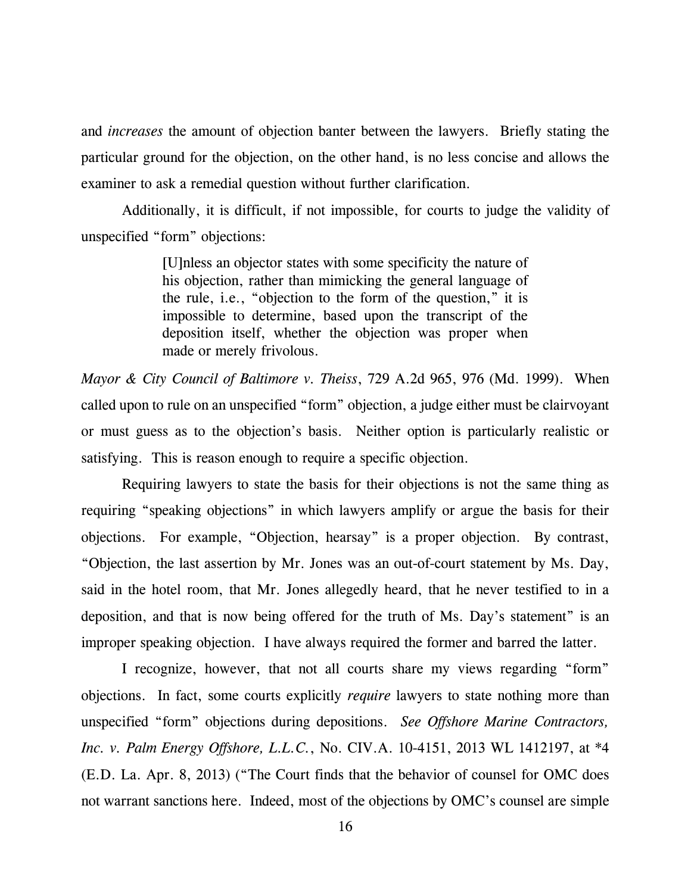and *increases* the amount of objection banter between the lawyers. Briefly stating the particular ground for the objection, on the other hand, is no less concise and allows the examiner to ask a remedial question without further clarification.

 Additionally, it is difficult, if not impossible, for courts to judge the validity of unspecified "form" objections:

> [U]nless an objector states with some specificity the nature of his objection, rather than mimicking the general language of the rule, i.e., "objection to the form of the question," it is impossible to determine, based upon the transcript of the deposition itself, whether the objection was proper when made or merely frivolous.

*Mayor & City Council of Baltimore v. Theiss*, 729 A.2d 965, 976 (Md. 1999). When called upon to rule on an unspecified "form" objection, a judge either must be clairvoyant or must guess as to the objection's basis. Neither option is particularly realistic or satisfying. This is reason enough to require a specific objection.

Requiring lawyers to state the basis for their objections is not the same thing as requiring "speaking objections" in which lawyers amplify or argue the basis for their objections. For example, "Objection, hearsay" is a proper objection. By contrast, "Objection, the last assertion by Mr. Jones was an out-of-court statement by Ms. Day, said in the hotel room, that Mr. Jones allegedly heard, that he never testified to in a deposition, and that is now being offered for the truth of Ms. Day's statement" is an improper speaking objection. I have always required the former and barred the latter.

 I recognize, however, that not all courts share my views regarding "form" objections. In fact, some courts explicitly *require* lawyers to state nothing more than unspecified "form" objections during depositions. *See Offshore Marine Contractors, Inc. v. Palm Energy Offshore, L.L.C.*, No. CIV.A. 10-4151, 2013 WL 1412197, at \*4 (E.D. La. Apr. 8, 2013) ("The Court finds that the behavior of counsel for OMC does not warrant sanctions here. Indeed, most of the objections by OMC's counsel are simple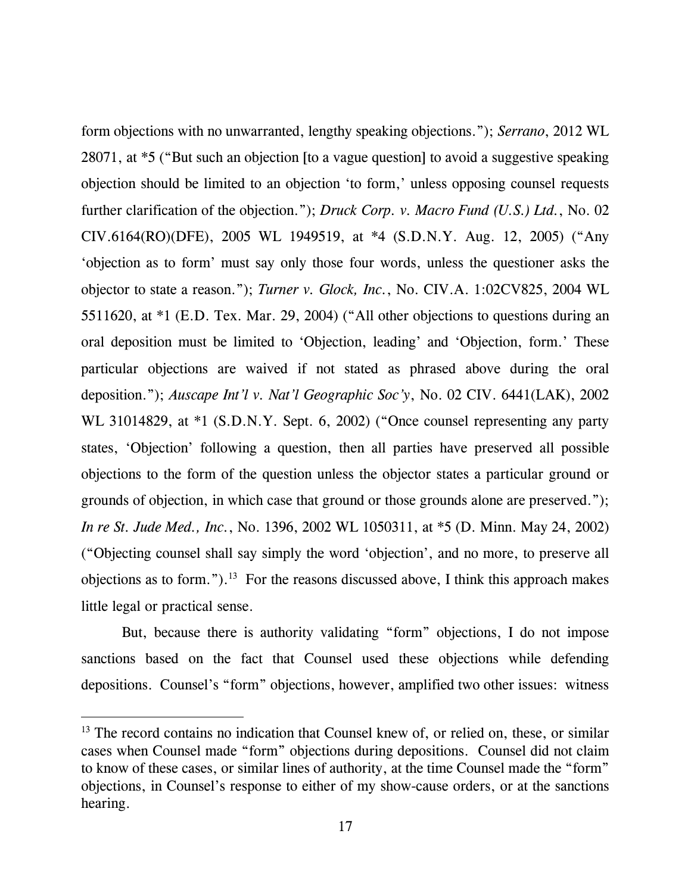form objections with no unwarranted, lengthy speaking objections."); *Serrano*, 2012 WL 28071, at \*5 ("But such an objection [to a vague question] to avoid a suggestive speaking objection should be limited to an objection 'to form,' unless opposing counsel requests further clarification of the objection."); *Druck Corp. v. Macro Fund (U.S.) Ltd.*, No. 02 CIV.6164(RO)(DFE), 2005 WL 1949519, at \*4 (S.D.N.Y. Aug. 12, 2005) ("Any 'objection as to form' must say only those four words, unless the questioner asks the objector to state a reason."); *Turner v. Glock, Inc.*, No. CIV.A. 1:02CV825, 2004 WL 5511620, at \*1 (E.D. Tex. Mar. 29, 2004) ("All other objections to questions during an oral deposition must be limited to 'Objection, leading' and 'Objection, form.' These particular objections are waived if not stated as phrased above during the oral deposition."); *Auscape Int'l v. Nat'l Geographic Soc'y*, No. 02 CIV. 6441(LAK), 2002 WL 31014829, at \*1 (S.D.N.Y. Sept. 6, 2002) ("Once counsel representing any party states, 'Objection' following a question, then all parties have preserved all possible objections to the form of the question unless the objector states a particular ground or grounds of objection, in which case that ground or those grounds alone are preserved."); *In re St. Jude Med., Inc.*, No. 1396, 2002 WL 1050311, at \*5 (D. Minn. May 24, 2002) ("Objecting counsel shall say simply the word 'objection', and no more, to preserve all objections as to form.").<sup>13</sup> For the reasons discussed above, I think this approach makes little legal or practical sense.

But, because there is authority validating "form" objections, I do not impose sanctions based on the fact that Counsel used these objections while defending depositions. Counsel's "form" objections, however, amplified two other issues: witness

<sup>&</sup>lt;sup>13</sup> The record contains no indication that Counsel knew of, or relied on, these, or similar cases when Counsel made "form" objections during depositions. Counsel did not claim to know of these cases, or similar lines of authority, at the time Counsel made the "form" objections, in Counsel's response to either of my show-cause orders, or at the sanctions hearing.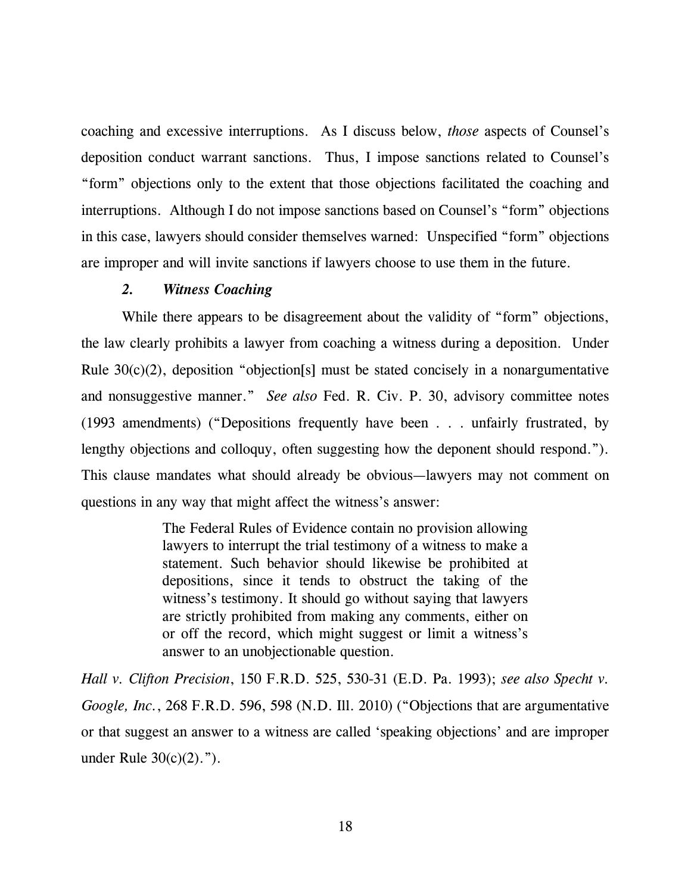coaching and excessive interruptions. As I discuss below, *those* aspects of Counsel's deposition conduct warrant sanctions. Thus, I impose sanctions related to Counsel's "form" objections only to the extent that those objections facilitated the coaching and interruptions. Although I do not impose sanctions based on Counsel's "form" objections in this case, lawyers should consider themselves warned: Unspecified "form" objections are improper and will invite sanctions if lawyers choose to use them in the future.

## *2. Witness Coaching*

While there appears to be disagreement about the validity of "form" objections, the law clearly prohibits a lawyer from coaching a witness during a deposition. Under Rule 30(c)(2), deposition "objection[s] must be stated concisely in a nonargumentative and nonsuggestive manner." *See also* Fed. R. Civ. P. 30, advisory committee notes (1993 amendments) ("Depositions frequently have been . . . unfairly frustrated, by lengthy objections and colloquy, often suggesting how the deponent should respond."). This clause mandates what should already be obvious—lawyers may not comment on questions in any way that might affect the witness's answer:

> The Federal Rules of Evidence contain no provision allowing lawyers to interrupt the trial testimony of a witness to make a statement. Such behavior should likewise be prohibited at depositions, since it tends to obstruct the taking of the witness's testimony. It should go without saying that lawyers are strictly prohibited from making any comments, either on or off the record, which might suggest or limit a witness's answer to an unobjectionable question.

*Hall v. Clifton Precision*, 150 F.R.D. 525, 530-31 (E.D. Pa. 1993); *see also Specht v. Google, Inc.*, 268 F.R.D. 596, 598 (N.D. Ill. 2010) ("Objections that are argumentative or that suggest an answer to a witness are called 'speaking objections' and are improper under Rule 30(c)(2).").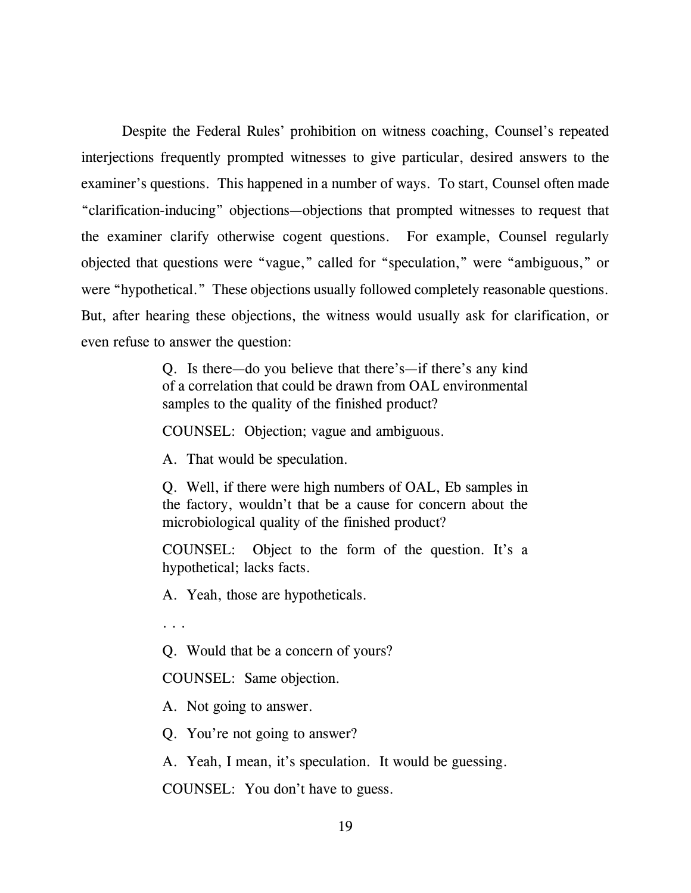Despite the Federal Rules' prohibition on witness coaching, Counsel's repeated interjections frequently prompted witnesses to give particular, desired answers to the examiner's questions. This happened in a number of ways. To start, Counsel often made "clarification-inducing" objections—objections that prompted witnesses to request that the examiner clarify otherwise cogent questions. For example, Counsel regularly objected that questions were "vague," called for "speculation," were "ambiguous," or were "hypothetical." These objections usually followed completely reasonable questions. But, after hearing these objections, the witness would usually ask for clarification, or even refuse to answer the question:

> Q. Is there—do you believe that there's—if there's any kind of a correlation that could be drawn from OAL environmental samples to the quality of the finished product?

COUNSEL: Objection; vague and ambiguous.

A. That would be speculation.

Q. Well, if there were high numbers of OAL, Eb samples in the factory, wouldn't that be a cause for concern about the microbiological quality of the finished product?

COUNSEL: Object to the form of the question. It's a hypothetical; lacks facts.

A. Yeah, those are hypotheticals.

. . .

Q. Would that be a concern of yours?

COUNSEL: Same objection.

A. Not going to answer.

Q. You're not going to answer?

A. Yeah, I mean, it's speculation. It would be guessing.

COUNSEL: You don't have to guess.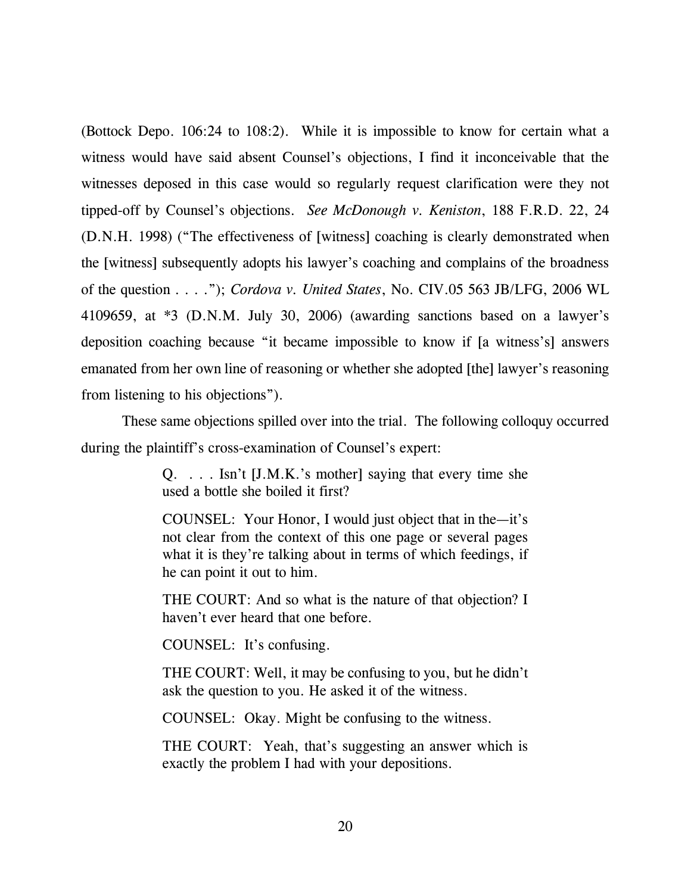(Bottock Depo. 106:24 to 108:2). While it is impossible to know for certain what a witness would have said absent Counsel's objections, I find it inconceivable that the witnesses deposed in this case would so regularly request clarification were they not tipped-off by Counsel's objections. *See McDonough v. Keniston*, 188 F.R.D. 22, 24 (D.N.H. 1998) ("The effectiveness of [witness] coaching is clearly demonstrated when the [witness] subsequently adopts his lawyer's coaching and complains of the broadness of the question . . . ."); *Cordova v. United States*, No. CIV.05 563 JB/LFG, 2006 WL 4109659, at \*3 (D.N.M. July 30, 2006) (awarding sanctions based on a lawyer's deposition coaching because "it became impossible to know if [a witness's] answers emanated from her own line of reasoning or whether she adopted [the] lawyer's reasoning from listening to his objections").

 These same objections spilled over into the trial. The following colloquy occurred during the plaintiff's cross-examination of Counsel's expert:

> Q. . . . Isn't [J.M.K.'s mother] saying that every time she used a bottle she boiled it first?

> COUNSEL: Your Honor, I would just object that in the—it's not clear from the context of this one page or several pages what it is they're talking about in terms of which feedings, if he can point it out to him.

> THE COURT: And so what is the nature of that objection? I haven't ever heard that one before.

COUNSEL: It's confusing.

THE COURT: Well, it may be confusing to you, but he didn't ask the question to you. He asked it of the witness.

COUNSEL: Okay. Might be confusing to the witness.

THE COURT: Yeah, that's suggesting an answer which is exactly the problem I had with your depositions.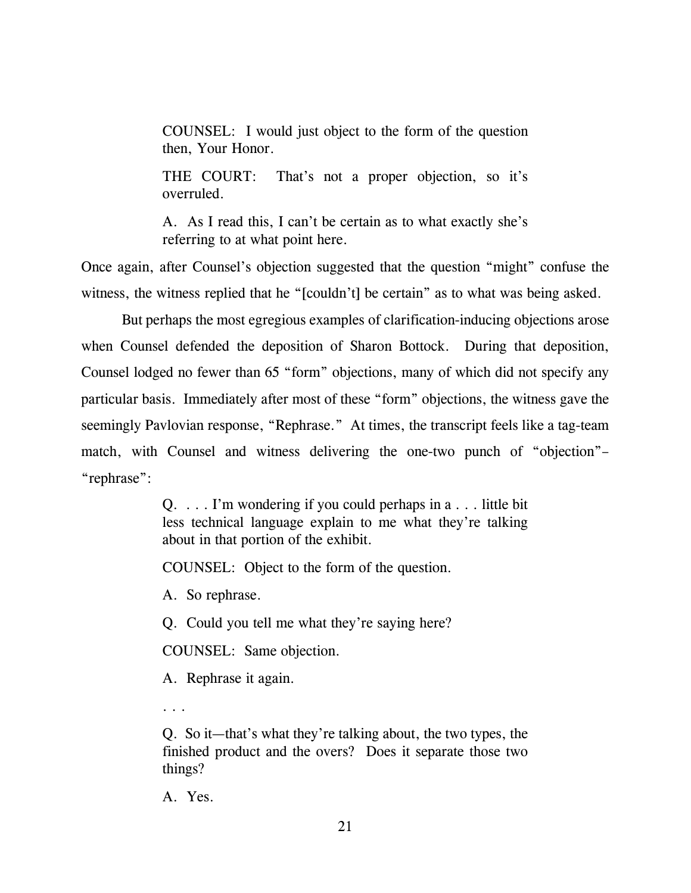COUNSEL: I would just object to the form of the question then, Your Honor.

THE COURT: That's not a proper objection, so it's overruled.

A. As I read this, I can't be certain as to what exactly she's referring to at what point here.

Once again, after Counsel's objection suggested that the question "might" confuse the witness, the witness replied that he "[couldn't] be certain" as to what was being asked.

 But perhaps the most egregious examples of clarification-inducing objections arose when Counsel defended the deposition of Sharon Bottock. During that deposition, Counsel lodged no fewer than 65 "form" objections, many of which did not specify any particular basis. Immediately after most of these "form" objections, the witness gave the seemingly Pavlovian response, "Rephrase." At times, the transcript feels like a tag-team match, with Counsel and witness delivering the one-two punch of "objection"– "rephrase":

> Q. . . . I'm wondering if you could perhaps in a . . . little bit less technical language explain to me what they're talking about in that portion of the exhibit.

COUNSEL: Object to the form of the question.

A. So rephrase.

Q. Could you tell me what they're saying here?

COUNSEL: Same objection.

A. Rephrase it again.

. . .

Q. So it—that's what they're talking about, the two types, the finished product and the overs? Does it separate those two things?

A. Yes.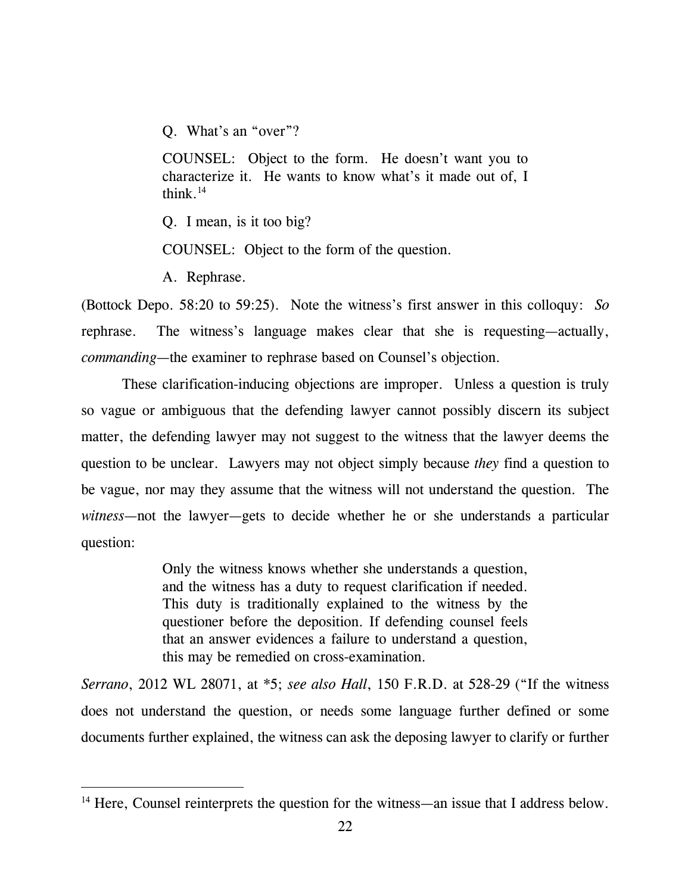Q. What's an "over"?

COUNSEL: Object to the form. He doesn't want you to characterize it. He wants to know what's it made out of, I think. $14$ 

Q. I mean, is it too big?

COUNSEL: Object to the form of the question.

A. Rephrase.

 $\overline{a}$ 

(Bottock Depo. 58:20 to 59:25). Note the witness's first answer in this colloquy: *So*  rephrase. The witness's language makes clear that she is requesting—actually, *commanding*—the examiner to rephrase based on Counsel's objection.

 These clarification-inducing objections are improper. Unless a question is truly so vague or ambiguous that the defending lawyer cannot possibly discern its subject matter, the defending lawyer may not suggest to the witness that the lawyer deems the question to be unclear. Lawyers may not object simply because *they* find a question to be vague, nor may they assume that the witness will not understand the question. The *witness*—not the lawyer—gets to decide whether he or she understands a particular question:

> Only the witness knows whether she understands a question, and the witness has a duty to request clarification if needed. This duty is traditionally explained to the witness by the questioner before the deposition. If defending counsel feels that an answer evidences a failure to understand a question, this may be remedied on cross-examination.

*Serrano*, 2012 WL 28071, at \*5; *see also Hall*, 150 F.R.D. at 528-29 ("If the witness does not understand the question, or needs some language further defined or some documents further explained, the witness can ask the deposing lawyer to clarify or further

<sup>&</sup>lt;sup>14</sup> Here, Counsel reinterprets the question for the witness—an issue that I address below.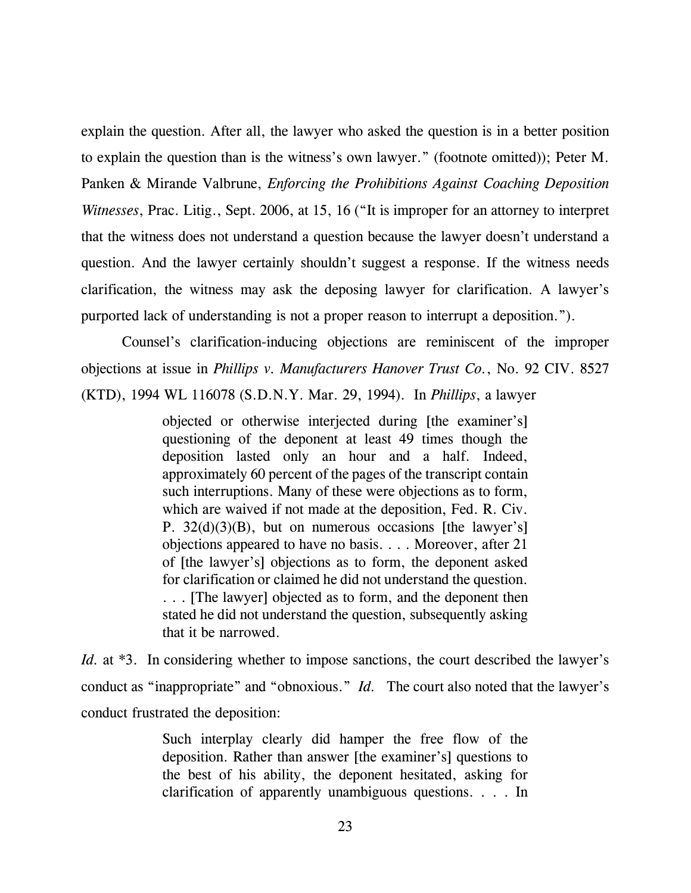explain the question. After all, the lawyer who asked the question is in a better position to explain the question than is the witness's own lawyer." (footnote omitted)); Peter M. Panken & Mirande Valbrune, *Enforcing the Prohibitions Against Coaching Deposition Witnesses*, Prac. Litig., Sept. 2006, at 15, 16 ("It is improper for an attorney to interpret that the witness does not understand a question because the lawyer doesn't understand a question. And the lawyer certainly shouldn't suggest a response. If the witness needs clarification, the witness may ask the deposing lawyer for clarification. A lawyer's purported lack of understanding is not a proper reason to interrupt a deposition.").

 Counsel's clarification-inducing objections are reminiscent of the improper objections at issue in *Phillips v. Manufacturers Hanover Trust Co.*, No. 92 CIV. 8527 (KTD), 1994 WL 116078 (S.D.N.Y. Mar. 29, 1994). In *Phillips*, a lawyer

> objected or otherwise interjected during [the examiner's] questioning of the deponent at least 49 times though the deposition lasted only an hour and a half. Indeed, approximately 60 percent of the pages of the transcript contain such interruptions. Many of these were objections as to form, which are waived if not made at the deposition, Fed. R. Civ. P. 32(d)(3)(B), but on numerous occasions [the lawyer's] objections appeared to have no basis. . . . Moreover, after 21 of [the lawyer's] objections as to form, the deponent asked for clarification or claimed he did not understand the question. . . . [The lawyer] objected as to form, and the deponent then stated he did not understand the question, subsequently asking that it be narrowed.

*Id.* at \*3. In considering whether to impose sanctions, the court described the lawyer's conduct as "inappropriate" and "obnoxious." *Id.* The court also noted that the lawyer's conduct frustrated the deposition:

> Such interplay clearly did hamper the free flow of the deposition. Rather than answer [the examiner's] questions to the best of his ability, the deponent hesitated, asking for clarification of apparently unambiguous questions. . . . In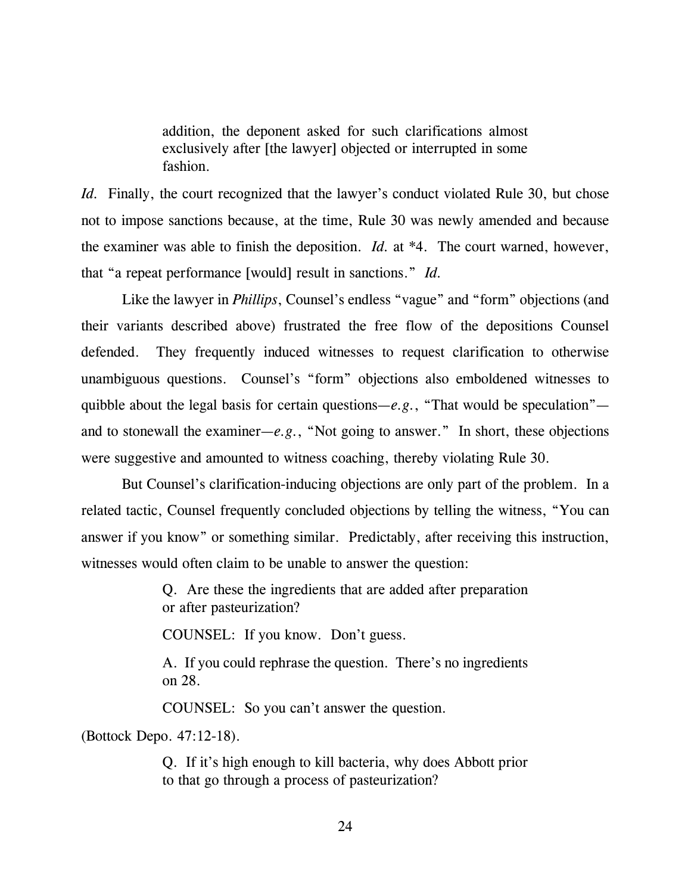addition, the deponent asked for such clarifications almost exclusively after [the lawyer] objected or interrupted in some fashion.

*Id.* Finally, the court recognized that the lawyer's conduct violated Rule 30, but chose not to impose sanctions because, at the time, Rule 30 was newly amended and because the examiner was able to finish the deposition. *Id.* at \*4. The court warned, however, that "a repeat performance [would] result in sanctions." *Id.* 

Like the lawyer in *Phillips*, Counsel's endless "vague" and "form" objections (and their variants described above) frustrated the free flow of the depositions Counsel defended. They frequently induced witnesses to request clarification to otherwise unambiguous questions. Counsel's "form" objections also emboldened witnesses to quibble about the legal basis for certain questions—*e.g.*, "That would be speculation" and to stonewall the examiner—*e.g.*, "Not going to answer." In short, these objections were suggestive and amounted to witness coaching, thereby violating Rule 30.

But Counsel's clarification-inducing objections are only part of the problem. In a related tactic, Counsel frequently concluded objections by telling the witness, "You can answer if you know" or something similar. Predictably, after receiving this instruction, witnesses would often claim to be unable to answer the question:

> Q. Are these the ingredients that are added after preparation or after pasteurization?

COUNSEL: If you know. Don't guess.

A. If you could rephrase the question. There's no ingredients on 28.

COUNSEL: So you can't answer the question.

(Bottock Depo. 47:12-18).

Q. If it's high enough to kill bacteria, why does Abbott prior to that go through a process of pasteurization?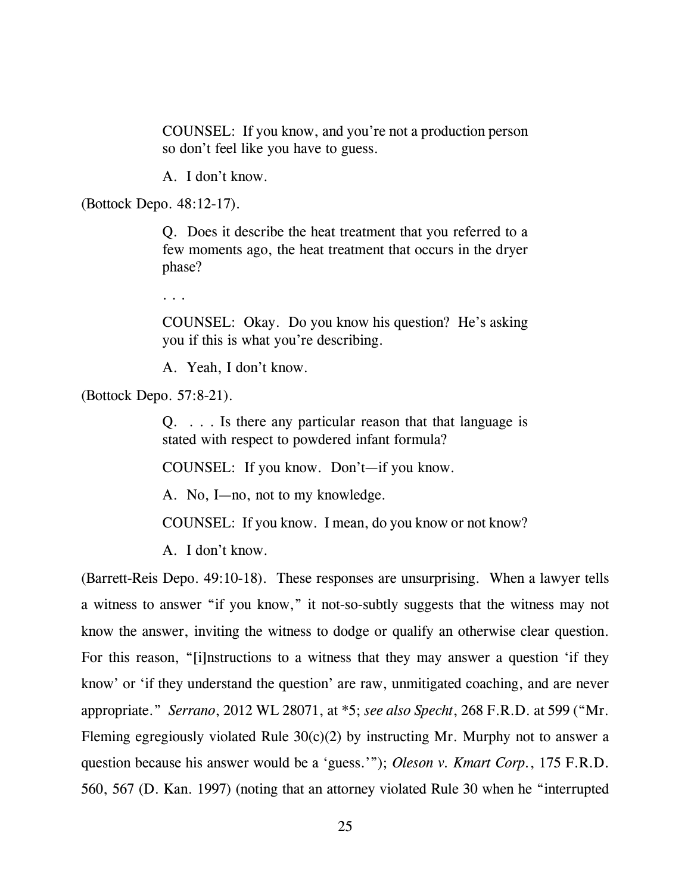COUNSEL: If you know, and you're not a production person so don't feel like you have to guess.

A. I don't know.

(Bottock Depo. 48:12-17).

Q. Does it describe the heat treatment that you referred to a few moments ago, the heat treatment that occurs in the dryer phase?

. . .

COUNSEL: Okay. Do you know his question? He's asking you if this is what you're describing.

A. Yeah, I don't know.

(Bottock Depo. 57:8-21).

Q. . . . Is there any particular reason that that language is stated with respect to powdered infant formula?

COUNSEL: If you know. Don't—if you know.

A. No, I—no, not to my knowledge.

COUNSEL: If you know. I mean, do you know or not know?

A. I don't know.

(Barrett-Reis Depo. 49:10-18). These responses are unsurprising. When a lawyer tells a witness to answer "if you know," it not-so-subtly suggests that the witness may not know the answer, inviting the witness to dodge or qualify an otherwise clear question. For this reason, "[i]nstructions to a witness that they may answer a question 'if they know' or 'if they understand the question' are raw, unmitigated coaching, and are never appropriate." *Serrano*, 2012 WL 28071, at \*5; *see also Specht*, 268 F.R.D. at 599 ("Mr. Fleming egregiously violated Rule  $30(c)(2)$  by instructing Mr. Murphy not to answer a question because his answer would be a 'guess.'"); *Oleson v. Kmart Corp.*, 175 F.R.D. 560, 567 (D. Kan. 1997) (noting that an attorney violated Rule 30 when he "interrupted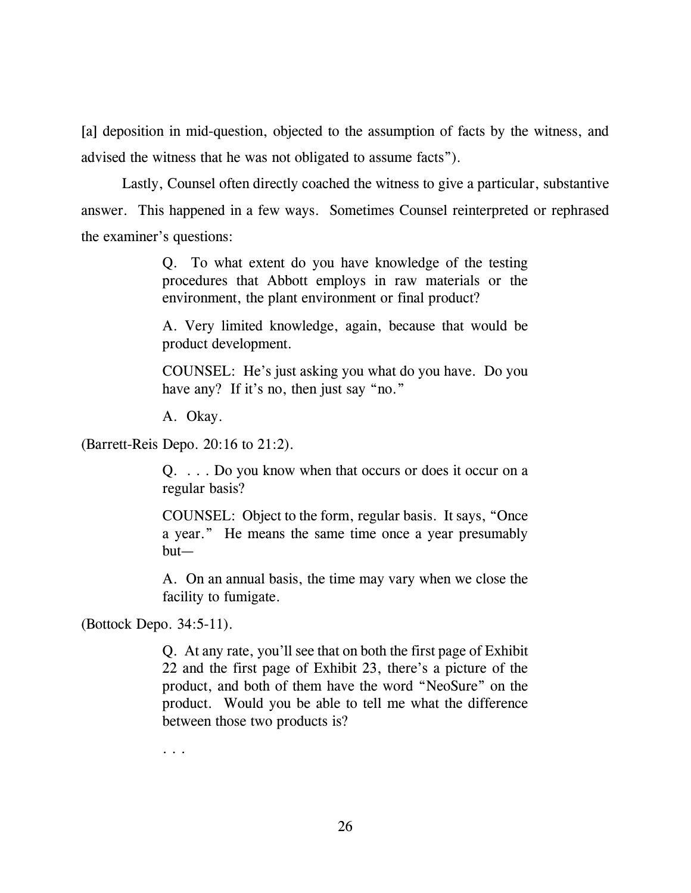[a] deposition in mid-question, objected to the assumption of facts by the witness, and advised the witness that he was not obligated to assume facts").

 Lastly, Counsel often directly coached the witness to give a particular, substantive answer. This happened in a few ways. Sometimes Counsel reinterpreted or rephrased the examiner's questions:

> Q. To what extent do you have knowledge of the testing procedures that Abbott employs in raw materials or the environment, the plant environment or final product?

> A. Very limited knowledge, again, because that would be product development.

> COUNSEL: He's just asking you what do you have. Do you have any? If it's no, then just say "no."

A. Okay.

(Barrett-Reis Depo. 20:16 to 21:2).

Q. . . . Do you know when that occurs or does it occur on a regular basis?

COUNSEL: Object to the form, regular basis. It says, "Once a year." He means the same time once a year presumably but—

A. On an annual basis, the time may vary when we close the facility to fumigate.

(Bottock Depo. 34:5-11).

Q. At any rate, you'll see that on both the first page of Exhibit 22 and the first page of Exhibit 23, there's a picture of the product, and both of them have the word "NeoSure" on the product. Would you be able to tell me what the difference between those two products is?

. . .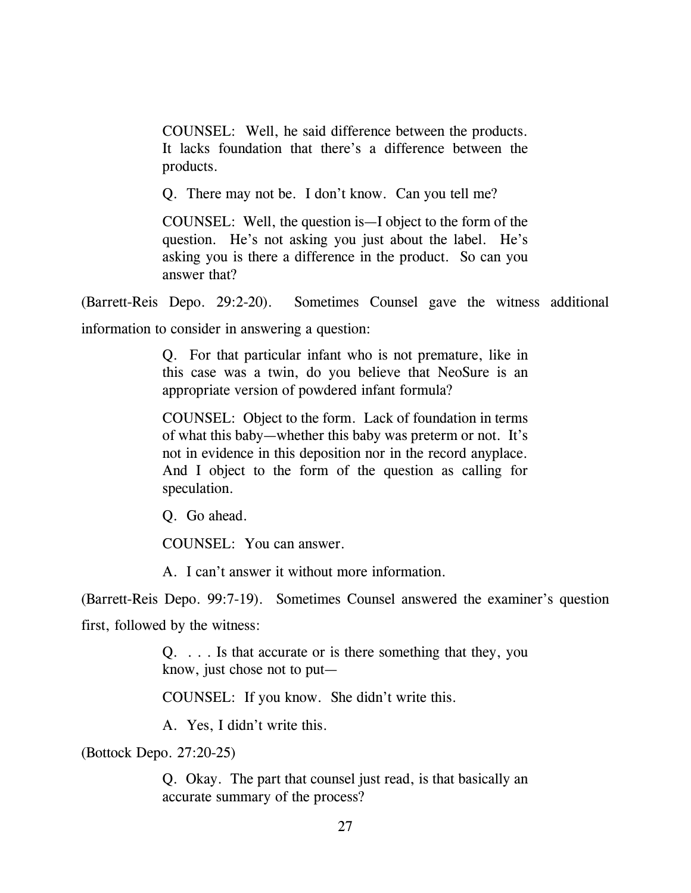COUNSEL: Well, he said difference between the products. It lacks foundation that there's a difference between the products.

Q. There may not be. I don't know. Can you tell me?

COUNSEL: Well, the question is—I object to the form of the question. He's not asking you just about the label. He's asking you is there a difference in the product. So can you answer that?

(Barrett-Reis Depo. 29:2-20). Sometimes Counsel gave the witness additional

information to consider in answering a question:

Q. For that particular infant who is not premature, like in this case was a twin, do you believe that NeoSure is an appropriate version of powdered infant formula?

COUNSEL: Object to the form. Lack of foundation in terms of what this baby—whether this baby was preterm or not. It's not in evidence in this deposition nor in the record anyplace. And I object to the form of the question as calling for speculation.

Q. Go ahead.

COUNSEL: You can answer.

A. I can't answer it without more information.

(Barrett-Reis Depo. 99:7-19). Sometimes Counsel answered the examiner's question

first, followed by the witness:

Q. . . . Is that accurate or is there something that they, you know, just chose not to put—

COUNSEL: If you know. She didn't write this.

A. Yes, I didn't write this.

(Bottock Depo. 27:20-25)

Q. Okay. The part that counsel just read, is that basically an accurate summary of the process?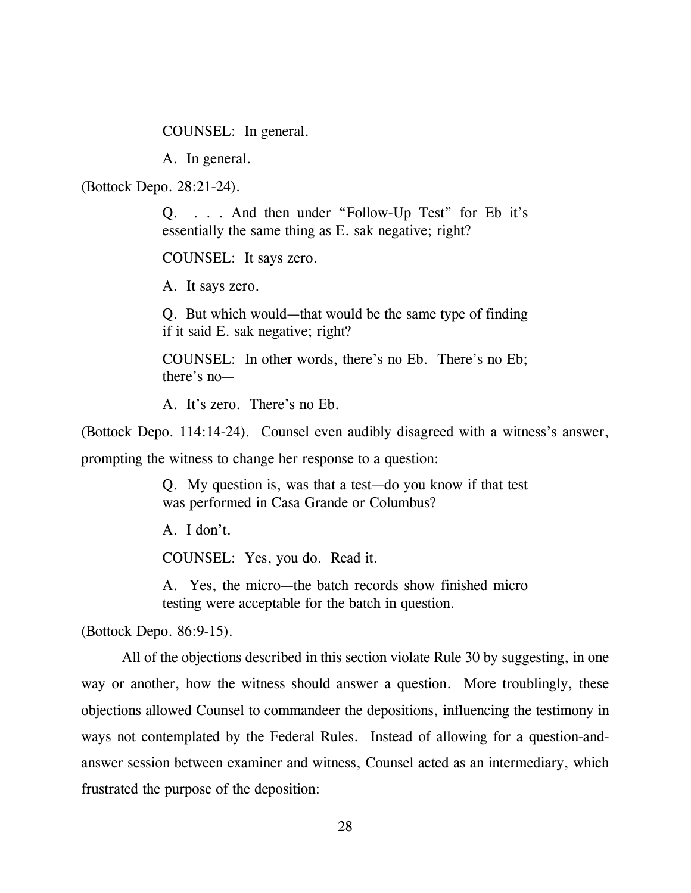COUNSEL: In general.

A. In general.

(Bottock Depo. 28:21-24).

Q. . . . And then under "Follow-Up Test" for Eb it's essentially the same thing as E. sak negative; right?

COUNSEL: It says zero.

A. It says zero.

Q. But which would—that would be the same type of finding if it said E. sak negative; right?

COUNSEL: In other words, there's no Eb. There's no Eb; there's no—

A. It's zero. There's no Eb.

(Bottock Depo. 114:14-24). Counsel even audibly disagreed with a witness's answer,

prompting the witness to change her response to a question:

Q. My question is, was that a test—do you know if that test was performed in Casa Grande or Columbus?

A. I don't.

COUNSEL: Yes, you do. Read it.

A. Yes, the micro—the batch records show finished micro testing were acceptable for the batch in question.

(Bottock Depo. 86:9-15).

 All of the objections described in this section violate Rule 30 by suggesting, in one way or another, how the witness should answer a question. More troublingly, these objections allowed Counsel to commandeer the depositions, influencing the testimony in ways not contemplated by the Federal Rules. Instead of allowing for a question-andanswer session between examiner and witness, Counsel acted as an intermediary, which frustrated the purpose of the deposition: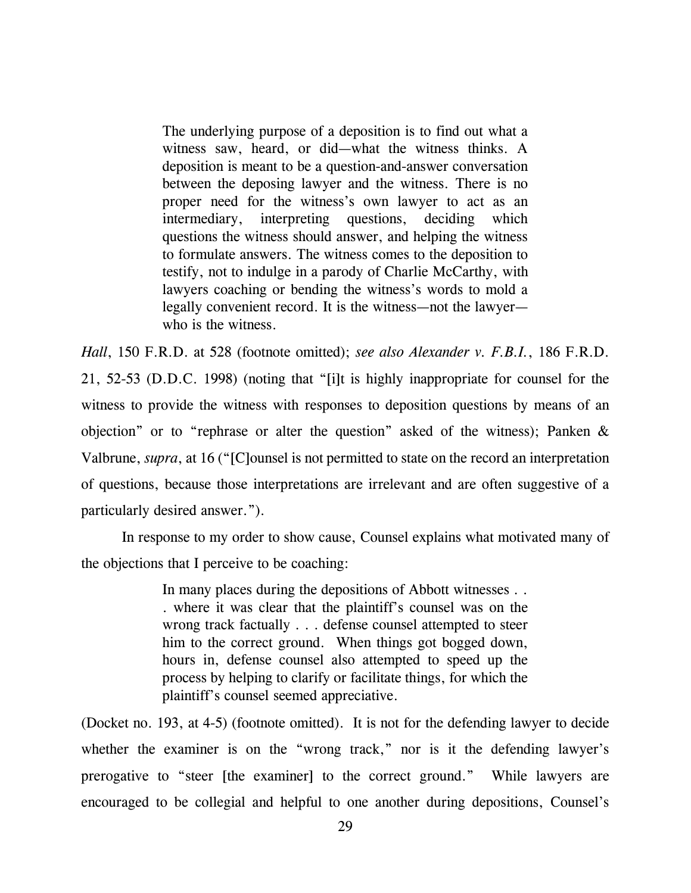The underlying purpose of a deposition is to find out what a witness saw, heard, or did—what the witness thinks. A deposition is meant to be a question-and-answer conversation between the deposing lawyer and the witness. There is no proper need for the witness's own lawyer to act as an intermediary, interpreting questions, deciding which questions the witness should answer, and helping the witness to formulate answers. The witness comes to the deposition to testify, not to indulge in a parody of Charlie McCarthy, with lawyers coaching or bending the witness's words to mold a legally convenient record. It is the witness—not the lawyer who is the witness.

*Hall*, 150 F.R.D. at 528 (footnote omitted); *see also Alexander v. F.B.I.*, 186 F.R.D. 21, 52-53 (D.D.C. 1998) (noting that "[i]t is highly inappropriate for counsel for the witness to provide the witness with responses to deposition questions by means of an objection" or to "rephrase or alter the question" asked of the witness); Panken & Valbrune, *supra*, at 16 ("[C]ounsel is not permitted to state on the record an interpretation of questions, because those interpretations are irrelevant and are often suggestive of a particularly desired answer.").

 In response to my order to show cause, Counsel explains what motivated many of the objections that I perceive to be coaching:

> In many places during the depositions of Abbott witnesses . . . where it was clear that the plaintiff's counsel was on the wrong track factually . . . defense counsel attempted to steer him to the correct ground. When things got bogged down, hours in, defense counsel also attempted to speed up the process by helping to clarify or facilitate things, for which the plaintiff's counsel seemed appreciative.

(Docket no. 193, at 4-5) (footnote omitted). It is not for the defending lawyer to decide whether the examiner is on the "wrong track," nor is it the defending lawyer's prerogative to "steer [the examiner] to the correct ground." While lawyers are encouraged to be collegial and helpful to one another during depositions, Counsel's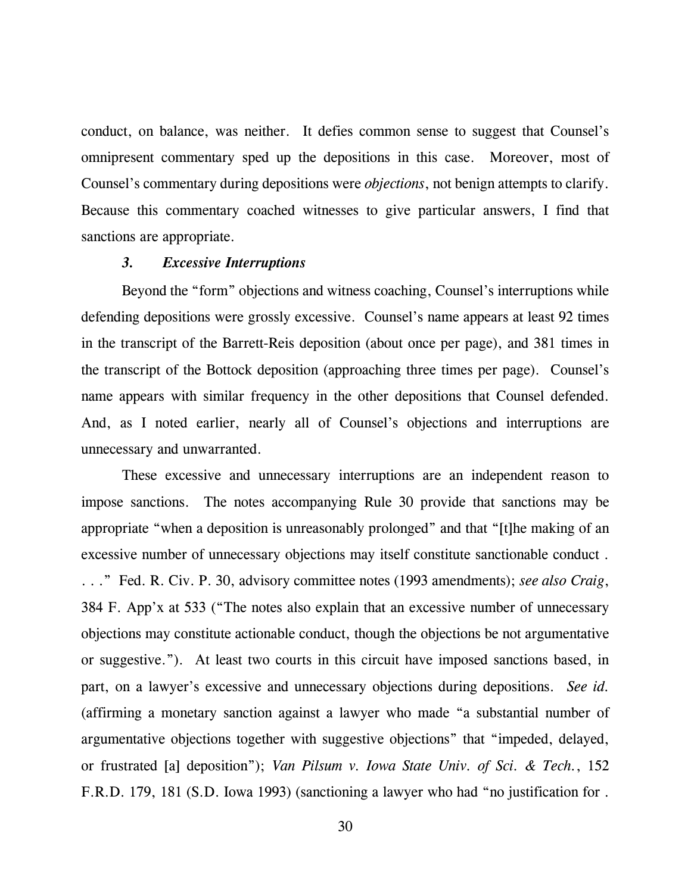conduct, on balance, was neither. It defies common sense to suggest that Counsel's omnipresent commentary sped up the depositions in this case. Moreover, most of Counsel's commentary during depositions were *objections*, not benign attempts to clarify. Because this commentary coached witnesses to give particular answers, I find that sanctions are appropriate.

### *3. Excessive Interruptions*

Beyond the "form" objections and witness coaching, Counsel's interruptions while defending depositions were grossly excessive. Counsel's name appears at least 92 times in the transcript of the Barrett-Reis deposition (about once per page), and 381 times in the transcript of the Bottock deposition (approaching three times per page). Counsel's name appears with similar frequency in the other depositions that Counsel defended. And, as I noted earlier, nearly all of Counsel's objections and interruptions are unnecessary and unwarranted.

These excessive and unnecessary interruptions are an independent reason to impose sanctions. The notes accompanying Rule 30 provide that sanctions may be appropriate "when a deposition is unreasonably prolonged" and that "[t]he making of an excessive number of unnecessary objections may itself constitute sanctionable conduct . . . ." Fed. R. Civ. P. 30, advisory committee notes (1993 amendments); *see also Craig*, 384 F. App'x at 533 ("The notes also explain that an excessive number of unnecessary objections may constitute actionable conduct, though the objections be not argumentative or suggestive."). At least two courts in this circuit have imposed sanctions based, in part, on a lawyer's excessive and unnecessary objections during depositions. *See id.* (affirming a monetary sanction against a lawyer who made "a substantial number of argumentative objections together with suggestive objections" that "impeded, delayed, or frustrated [a] deposition"); *Van Pilsum v. Iowa State Univ. of Sci. & Tech.*, 152 F.R.D. 179, 181 (S.D. Iowa 1993) (sanctioning a lawyer who had "no justification for .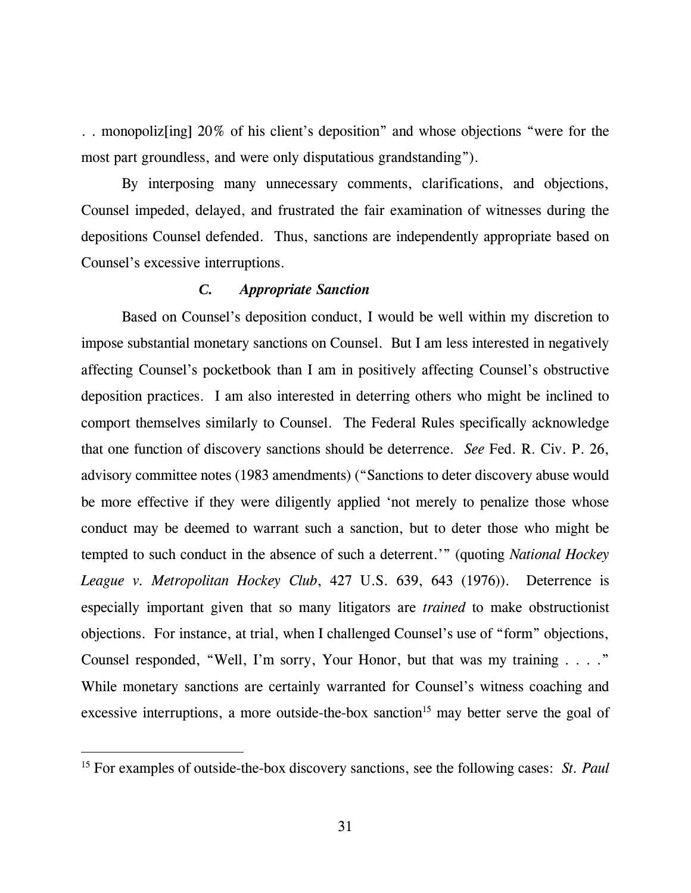. . monopoliz[ing] 20% of his client's deposition" and whose objections "were for the most part groundless, and were only disputatious grandstanding").

By interposing many unnecessary comments, clarifications, and objections, Counsel impeded, delayed, and frustrated the fair examination of witnesses during the depositions Counsel defended. Thus, sanctions are independently appropriate based on Counsel's excessive interruptions.

## *C. Appropriate Sanction*

Based on Counsel's deposition conduct, I would be well within my discretion to impose substantial monetary sanctions on Counsel. But I am less interested in negatively affecting Counsel's pocketbook than I am in positively affecting Counsel's obstructive deposition practices. I am also interested in deterring others who might be inclined to comport themselves similarly to Counsel. The Federal Rules specifically acknowledge that one function of discovery sanctions should be deterrence. *See* Fed. R. Civ. P. 26, advisory committee notes (1983 amendments) ("Sanctions to deter discovery abuse would be more effective if they were diligently applied 'not merely to penalize those whose conduct may be deemed to warrant such a sanction, but to deter those who might be tempted to such conduct in the absence of such a deterrent.'" (quoting *National Hockey League v. Metropolitan Hockey Club*, 427 U.S. 639, 643 (1976)). Deterrence is especially important given that so many litigators are *trained* to make obstructionist objections. For instance, at trial, when I challenged Counsel's use of "form" objections, Counsel responded, "Well, I'm sorry, Your Honor, but that was my training . . . ." While monetary sanctions are certainly warranted for Counsel's witness coaching and excessive interruptions, a more outside-the-box sanction<sup>15</sup> may better serve the goal of

-

<sup>15</sup> For examples of outside-the-box discovery sanctions, see the following cases: *St. Paul*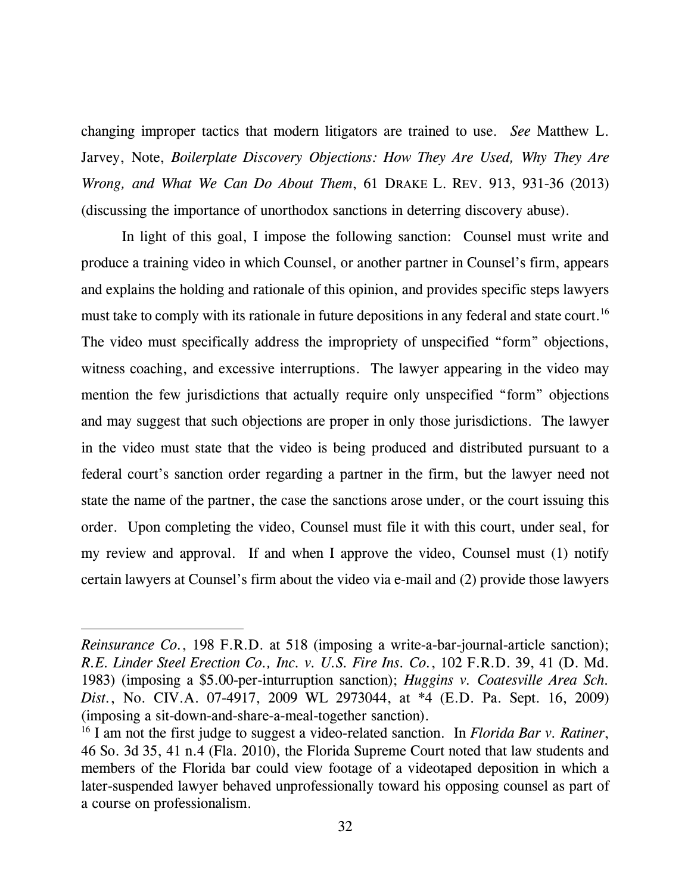changing improper tactics that modern litigators are trained to use. *See* Matthew L. Jarvey, Note, *Boilerplate Discovery Objections: How They Are Used, Why They Are Wrong, and What We Can Do About Them*, 61 DRAKE L. REV. 913, 931-36 (2013) (discussing the importance of unorthodox sanctions in deterring discovery abuse).

In light of this goal, I impose the following sanction: Counsel must write and produce a training video in which Counsel, or another partner in Counsel's firm, appears and explains the holding and rationale of this opinion, and provides specific steps lawyers must take to comply with its rationale in future depositions in any federal and state court.<sup>16</sup> The video must specifically address the impropriety of unspecified "form" objections, witness coaching, and excessive interruptions. The lawyer appearing in the video may mention the few jurisdictions that actually require only unspecified "form" objections and may suggest that such objections are proper in only those jurisdictions. The lawyer in the video must state that the video is being produced and distributed pursuant to a federal court's sanction order regarding a partner in the firm, but the lawyer need not state the name of the partner, the case the sanctions arose under, or the court issuing this order. Upon completing the video, Counsel must file it with this court, under seal, for my review and approval. If and when I approve the video, Counsel must (1) notify certain lawyers at Counsel's firm about the video via e-mail and (2) provide those lawyers

-

*Reinsurance Co.*, 198 F.R.D. at 518 (imposing a write-a-bar-journal-article sanction); *R.E. Linder Steel Erection Co., Inc. v. U.S. Fire Ins. Co.*, 102 F.R.D. 39, 41 (D. Md. 1983) (imposing a \$5.00-per-inturruption sanction); *Huggins v. Coatesville Area Sch. Dist.*, No. CIV.A. 07-4917, 2009 WL 2973044, at \*4 (E.D. Pa. Sept. 16, 2009) (imposing a sit-down-and-share-a-meal-together sanction).

<sup>16</sup> I am not the first judge to suggest a video-related sanction. In *Florida Bar v. Ratiner*, 46 So. 3d 35, 41 n.4 (Fla. 2010), the Florida Supreme Court noted that law students and members of the Florida bar could view footage of a videotaped deposition in which a later-suspended lawyer behaved unprofessionally toward his opposing counsel as part of a course on professionalism.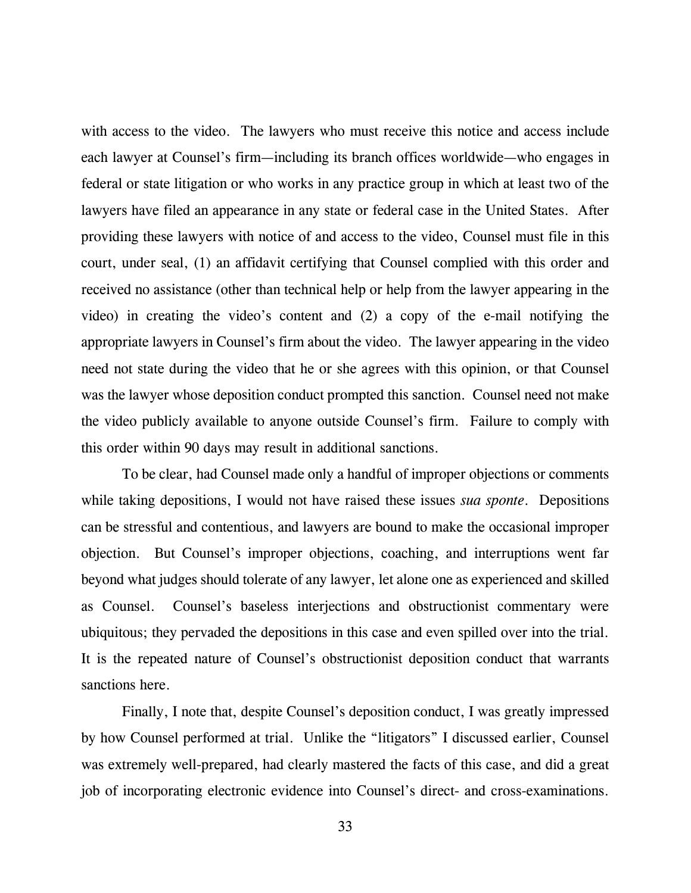with access to the video. The lawyers who must receive this notice and access include each lawyer at Counsel's firm—including its branch offices worldwide—who engages in federal or state litigation or who works in any practice group in which at least two of the lawyers have filed an appearance in any state or federal case in the United States. After providing these lawyers with notice of and access to the video, Counsel must file in this court, under seal, (1) an affidavit certifying that Counsel complied with this order and received no assistance (other than technical help or help from the lawyer appearing in the video) in creating the video's content and (2) a copy of the e-mail notifying the appropriate lawyers in Counsel's firm about the video. The lawyer appearing in the video need not state during the video that he or she agrees with this opinion, or that Counsel was the lawyer whose deposition conduct prompted this sanction. Counsel need not make the video publicly available to anyone outside Counsel's firm. Failure to comply with this order within 90 days may result in additional sanctions.

To be clear, had Counsel made only a handful of improper objections or comments while taking depositions, I would not have raised these issues *sua sponte*.Depositions can be stressful and contentious, and lawyers are bound to make the occasional improper objection. But Counsel's improper objections, coaching, and interruptions went far beyond what judges should tolerate of any lawyer, let alone one as experienced and skilled as Counsel. Counsel's baseless interjections and obstructionist commentary were ubiquitous; they pervaded the depositions in this case and even spilled over into the trial. It is the repeated nature of Counsel's obstructionist deposition conduct that warrants sanctions here.

Finally, I note that, despite Counsel's deposition conduct, I was greatly impressed by how Counsel performed at trial. Unlike the "litigators" I discussed earlier, Counsel was extremely well-prepared, had clearly mastered the facts of this case, and did a great job of incorporating electronic evidence into Counsel's direct- and cross-examinations.